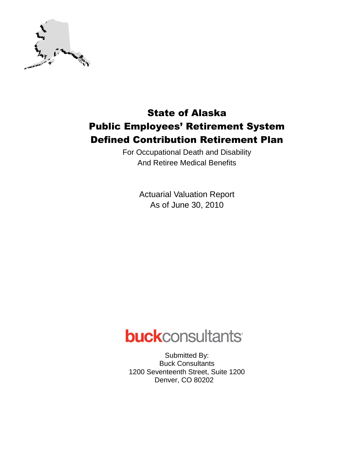

## State of Alaska Public Employees' Retirement System Defined Contribution Retirement Plan

For Occupational Death and Disability And Retiree Medical Benefits

> Actuarial Valuation Report As of June 30, 2010

# **buck**consultants

Submitted By: Buck Consultants 1200 Seventeenth Street, Suite 1200 Denver, CO 80202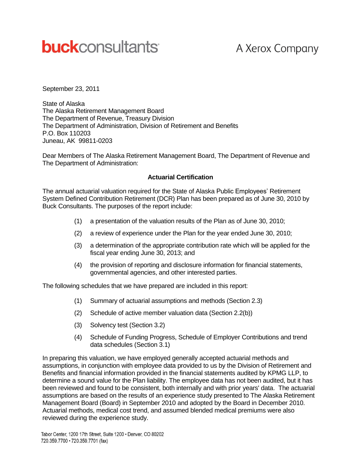# **buck**consultants

# A Xerox Company

September 23, 2011

State of Alaska The Alaska Retirement Management Board The Department of Revenue, Treasury Division The Department of Administration, Division of Retirement and Benefits P.O. Box 110203 Juneau, AK 99811-0203

Dear Members of The Alaska Retirement Management Board, The Department of Revenue and The Department of Administration:

#### **Actuarial Certification**

The annual actuarial valuation required for the State of Alaska Public Employees' Retirement System Defined Contribution Retirement (DCR) Plan has been prepared as of June 30, 2010 by Buck Consultants. The purposes of the report include:

- (1) a presentation of the valuation results of the Plan as of June 30, 2010;
- (2) a review of experience under the Plan for the year ended June 30, 2010;
- (3) a determination of the appropriate contribution rate which will be applied for the fiscal year ending June 30, 2013; and
- (4) the provision of reporting and disclosure information for financial statements, governmental agencies, and other interested parties.

The following schedules that we have prepared are included in this report:

- (1) Summary of actuarial assumptions and methods (Section 2.3)
- (2) Schedule of active member valuation data (Section 2.2(b))
- (3) Solvency test (Section 3.2)
- (4) Schedule of Funding Progress, Schedule of Employer Contributions and trend data schedules (Section 3.1)

In preparing this valuation, we have employed generally accepted actuarial methods and assumptions, in conjunction with employee data provided to us by the Division of Retirement and Benefits and financial information provided in the financial statements audited by KPMG LLP, to determine a sound value for the Plan liability. The employee data has not been audited, but it has been reviewed and found to be consistent, both internally and with prior years' data. The actuarial assumptions are based on the results of an experience study presented to The Alaska Retirement Management Board (Board) in September 2010 and adopted by the Board in December 2010. Actuarial methods, medical cost trend, and assumed blended medical premiums were also reviewed during the experience study.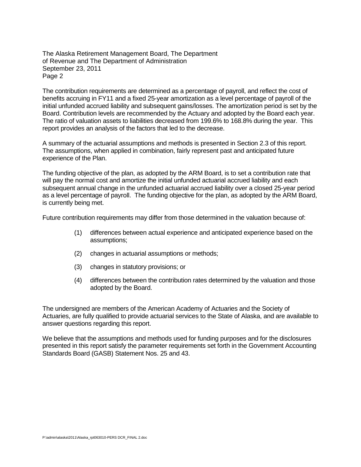The Alaska Retirement Management Board, The Department of Revenue and The Department of Administration September 23, 2011 Page 2

The contribution requirements are determined as a percentage of payroll, and reflect the cost of benefits accruing in FY11 and a fixed 25-year amortization as a level percentage of payroll of the initial unfunded accrued liability and subsequent gains/losses. The amortization period is set by the Board. Contribution levels are recommended by the Actuary and adopted by the Board each year. The ratio of valuation assets to liabilities decreased from 199.6% to 168.8% during the year. This report provides an analysis of the factors that led to the decrease.

A summary of the actuarial assumptions and methods is presented in Section 2.3 of this report. The assumptions, when applied in combination, fairly represent past and anticipated future experience of the Plan.

The funding objective of the plan, as adopted by the ARM Board, is to set a contribution rate that will pay the normal cost and amortize the initial unfunded actuarial accrued liability and each subsequent annual change in the unfunded actuarial accrued liability over a closed 25-year period as a level percentage of payroll. The funding objective for the plan, as adopted by the ARM Board, is currently being met.

Future contribution requirements may differ from those determined in the valuation because of:

- (1) differences between actual experience and anticipated experience based on the assumptions;
- (2) changes in actuarial assumptions or methods;
- (3) changes in statutory provisions; or
- (4) differences between the contribution rates determined by the valuation and those adopted by the Board.

The undersigned are members of the American Academy of Actuaries and the Society of Actuaries, are fully qualified to provide actuarial services to the State of Alaska, and are available to answer questions regarding this report.

We believe that the assumptions and methods used for funding purposes and for the disclosures presented in this report satisfy the parameter requirements set forth in the Government Accounting Standards Board (GASB) Statement Nos. 25 and 43.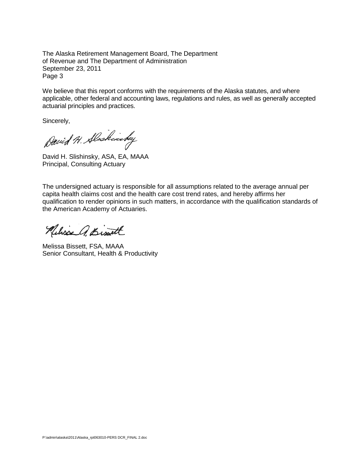The Alaska Retirement Management Board, The Department of Revenue and The Department of Administration September 23, 2011 Page 3

We believe that this report conforms with the requirements of the Alaska statutes, and where applicable, other federal and accounting laws, regulations and rules, as well as generally accepted actuarial principles and practices.

Sincerely,

David H. Alaskinsky

David H. Slishinsky, ASA, EA, MAAA Principal, Consulting Actuary

The undersigned actuary is responsible for all assumptions related to the average annual per capita health claims cost and the health care cost trend rates, and hereby affirms her qualification to render opinions in such matters, in accordance with the qualification standards of the American Academy of Actuaries.

Neliss A. Bissett

Melissa Bissett, FSA, MAAA Senior Consultant, Health & Productivity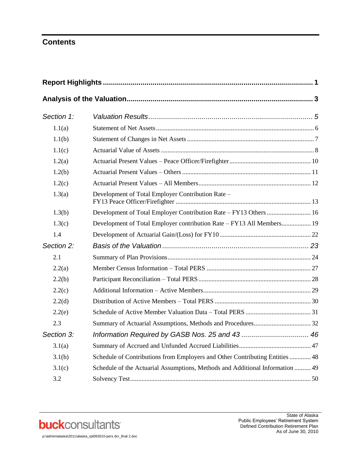### **Contents**

| Section 1: |                                                                               |  |
|------------|-------------------------------------------------------------------------------|--|
| 1.1(a)     |                                                                               |  |
| 1.1(b)     |                                                                               |  |
| 1.1(c)     |                                                                               |  |
| 1.2(a)     |                                                                               |  |
| 1.2(b)     |                                                                               |  |
| 1.2(c)     |                                                                               |  |
| 1.3(a)     | Development of Total Employer Contribution Rate -                             |  |
| 1.3(b)     | Development of Total Employer Contribution Rate - FY13 Others  16             |  |
| 1.3(c)     | Development of Total Employer contribution Rate - FY13 All Members 19         |  |
| 1.4        |                                                                               |  |
| Section 2: |                                                                               |  |
| 2.1        |                                                                               |  |
| 2.2(a)     |                                                                               |  |
| 2.2(b)     |                                                                               |  |
| 2.2(c)     |                                                                               |  |
| 2.2(d)     |                                                                               |  |
| 2.2(e)     |                                                                               |  |
| 2.3        |                                                                               |  |
| Section 3: |                                                                               |  |
| 3.1(a)     |                                                                               |  |
| 3.1(b)     | Schedule of Contributions from Employers and Other Contributing Entities  48  |  |
| 3.1(c)     | Schedule of the Actuarial Assumptions, Methods and Additional Information  49 |  |
| 3.2        |                                                                               |  |

**buck**consultants

p:\admin\alaska\2011\alaska\_rpt063010-pers dcr\_final 2.doc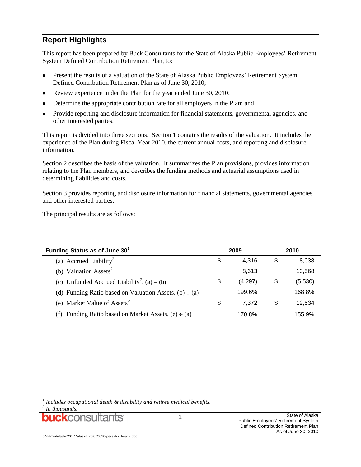### **Report Highlights**

This report has been prepared by Buck Consultants for the State of Alaska Public Employees' Retirement System Defined Contribution Retirement Plan, to:

- Present the results of a valuation of the State of Alaska Public Employees' Retirement System  $\bullet$ Defined Contribution Retirement Plan as of June 30, 2010;
- Review experience under the Plan for the year ended June 30, 2010;
- Determine the appropriate contribution rate for all employers in the Plan; and
- Provide reporting and disclosure information for financial statements, governmental agencies, and other interested parties.

This report is divided into three sections. Section 1 contains the results of the valuation. It includes the experience of the Plan during Fiscal Year 2010, the current annual costs, and reporting and disclosure information.

Section 2 describes the basis of the valuation. It summarizes the Plan provisions, provides information relating to the Plan members, and describes the funding methods and actuarial assumptions used in determining liabilities and costs.

Section 3 provides reporting and disclosure information for financial statements, governmental agencies and other interested parties.

The principal results are as follows:

| Funding Status as of June 30 <sup>1</sup>                   | 2009          | 2010 |         |  |
|-------------------------------------------------------------|---------------|------|---------|--|
| (a) Accrued Liability <sup>2</sup>                          | \$<br>4.316   | S    | 8.038   |  |
| (b) Valuation Assets <sup>2</sup>                           | 8,613         |      | 13,568  |  |
| (c) Unfunded Accrued Liability <sup>2</sup> , (a) – (b)     | \$<br>(4,297) | \$   | (5,530) |  |
| (d) Funding Ratio based on Valuation Assets, $(b) \div (a)$ | 199.6%        |      | 168.8%  |  |
| (e) Market Value of Assets <sup>2</sup>                     | \$<br>7.372   | \$   | 12.534  |  |
| (f) Funding Ratio based on Market Assets, $(e) - (a)$       | 170.8%        |      | 155.9%  |  |

l

*<sup>1</sup> Includes occupational death & disability and retiree medical benefits.*

*<sup>2</sup> In thousands.*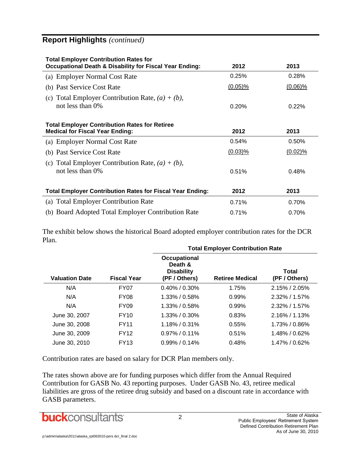### **Report Highlights** *(continued)*

| <b>Total Employer Contribution Rates for</b><br><b>Occupational Death &amp; Disability for Fiscal Year Ending:</b> | 2012       | 2013       |  |  |  |  |  |  |
|--------------------------------------------------------------------------------------------------------------------|------------|------------|--|--|--|--|--|--|
| (a) Employer Normal Cost Rate                                                                                      | 0.25%      | 0.28%      |  |  |  |  |  |  |
| (b) Past Service Cost Rate                                                                                         | $(0.05)\%$ | $(0.06)\%$ |  |  |  |  |  |  |
| (c) Total Employer Contribution Rate, $(a) + (b)$ ,<br>not less than $0\%$                                         | 0.20%      | 0.22%      |  |  |  |  |  |  |
| <b>Total Employer Contribution Rates for Retiree</b><br><b>Medical for Fiscal Year Ending:</b><br>2012<br>2013     |            |            |  |  |  |  |  |  |
| (a) Employer Normal Cost Rate                                                                                      | 0.54%      | 0.50%      |  |  |  |  |  |  |
| (b) Past Service Cost Rate                                                                                         | $(0.03)\%$ | $(0.02)\%$ |  |  |  |  |  |  |
| (c) Total Employer Contribution Rate, $(a) + (b)$ ,<br>not less than 0%                                            | 0.51%      | 0.48%      |  |  |  |  |  |  |
| <b>Total Employer Contribution Rates for Fiscal Year Ending:</b>                                                   | 2012       | 2013       |  |  |  |  |  |  |
| (a) Total Employer Contribution Rate                                                                               | 0.71%      | 0.70%      |  |  |  |  |  |  |
| (b) Board Adopted Total Employer Contribution Rate                                                                 | 0.71%      | 0.70%      |  |  |  |  |  |  |

The exhibit below shows the historical Board adopted employer contribution rates for the DCR Plan.

|                       |                    | <b>Total Employer Contribution Rate</b>                       |                        |                        |  |  |  |  |
|-----------------------|--------------------|---------------------------------------------------------------|------------------------|------------------------|--|--|--|--|
| <b>Valuation Date</b> | <b>Fiscal Year</b> | Occupational<br>Death &<br><b>Disability</b><br>(PF / Others) | <b>Retiree Medical</b> | Total<br>(PF / Others) |  |  |  |  |
| N/A                   | FY07               | $0.40\%$ / 0.30%                                              | 1.75%                  | $2.15\%$ / $2.05\%$    |  |  |  |  |
| N/A                   | FY <sub>08</sub>   | $1.33\%$ / 0.58%                                              | 0.99%                  | $2.32\%$ / 1.57%       |  |  |  |  |
| N/A                   | <b>FY09</b>        | $1.33\%$ / 0.58%                                              | 0.99%                  | $2.32\%$ / 1.57%       |  |  |  |  |
| June 30, 2007         | FY10               | $1.33\%$ / 0.30%                                              | 0.83%                  | $2.16\%$ / 1.13%       |  |  |  |  |
| June 30, 2008         | <b>FY11</b>        | $1.18\% / 0.31\%$                                             | 0.55%                  | $1.73\%$ / 0.86%       |  |  |  |  |
| June 30, 2009         | <b>FY12</b>        | $0.97\%$ / 0.11%                                              | 0.51%                  | 1.48% / 0.62%          |  |  |  |  |
| June 30, 2010         | <b>FY13</b>        | $0.99\%$ / 0.14%                                              | 0.48%                  | $1.47\%$ / 0.62%       |  |  |  |  |

Contribution rates are based on salary for DCR Plan members only.

The rates shown above are for funding purposes which differ from the Annual Required Contribution for GASB No. 43 reporting purposes. Under GASB No. 43, retiree medical liabilities are gross of the retiree drug subsidy and based on a discount rate in accordance with GASB parameters.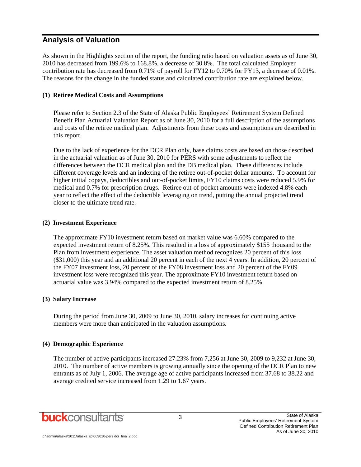### **Analysis of Valuation**

As shown in the Highlights section of the report, the funding ratio based on valuation assets as of June 30, 2010 has decreased from 199.6% to 168.8%, a decrease of 30.8%. The total calculated Employer contribution rate has decreased from 0.71% of payroll for FY12 to 0.70% for FY13, a decrease of 0.01%. The reasons for the change in the funded status and calculated contribution rate are explained below.

#### **(1) Retiree Medical Costs and Assumptions**

Please refer to Section 2.3 of the State of Alaska Public Employees' Retirement System Defined Benefit Plan Actuarial Valuation Report as of June 30, 2010 for a full description of the assumptions and costs of the retiree medical plan. Adjustments from these costs and assumptions are described in this report.

Due to the lack of experience for the DCR Plan only, base claims costs are based on those described in the actuarial valuation as of June 30, 2010 for PERS with some adjustments to reflect the differences between the DCR medical plan and the DB medical plan. These differences include different coverage levels and an indexing of the retiree out-of-pocket dollar amounts. To account for higher initial copays, deductibles and out-of-pocket limits, FY10 claims costs were reduced 5.9% for medical and 0.7% for prescription drugs. Retiree out-of-pocket amounts were indexed 4.8% each year to reflect the effect of the deductible leveraging on trend, putting the annual projected trend closer to the ultimate trend rate.

#### **(2) Investment Experience**

The approximate FY10 investment return based on market value was 6.60% compared to the expected investment return of 8.25%. This resulted in a loss of approximately \$155 thousand to the Plan from investment experience. The asset valuation method recognizes 20 percent of this loss (\$31,000) this year and an additional 20 percent in each of the next 4 years. In addition, 20 percent of the FY07 investment loss, 20 percent of the FY08 investment loss and 20 percent of the FY09 investment loss were recognized this year. The approximate FY10 investment return based on actuarial value was 3.94% compared to the expected investment return of 8.25%.

#### **(3) Salary Increase**

During the period from June 30, 2009 to June 30, 2010, salary increases for continuing active members were more than anticipated in the valuation assumptions.

#### **(4) Demographic Experience**

The number of active participants increased 27.23% from 7,256 at June 30, 2009 to 9,232 at June 30, 2010. The number of active members is growing annually since the opening of the DCR Plan to new entrants as of July 1, 2006. The average age of active participants increased from 37.68 to 38.22 and average credited service increased from 1.29 to 1.67 years.

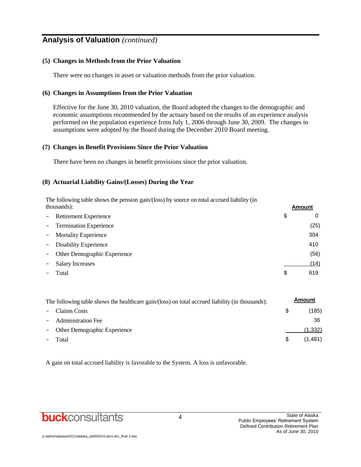### **Analysis of Valuation** *(continued)*

#### **(5) Changes in Methods from the Prior Valuation**

There were no changes in asset or valuation methods from the prior valuation.

#### **(6) Changes in Assumptions from the Prior Valuation**

Effective for the June 30, 2010 valuation, the Board adopted the changes to the demographic and economic assumptions recommended by the actuary based on the results of an experience analysis performed on the population experience from July 1, 2006 through June 30, 2009. The changes in assumptions were adopted by the Board during the December 2010 Board meeting.

#### **(7) Changes in Benefit Provisions Since the Prior Valuation**

There have been no changes in benefit provisions since the prior valuation.

#### **(8) Actuarial Liability Gains/(Losses) During the Year**

The following table shows the pension gain/(loss) by source on total accrued liability (in thousands): **Amount**

|               |                              |    | .    |
|---------------|------------------------------|----|------|
|               | - Retirement Experience      | \$ | 0    |
|               | - Termination Experience     |    | (25) |
|               | - Mortality Experience       |    | 304  |
| $\frac{1}{2}$ | <b>Disability Experience</b> |    | 410  |
|               | Other Demographic Experience |    | (56) |
|               | <b>Salary Increases</b>      |    | (14) |
|               | Total                        | S  | 619  |

| The following table shows the healthcare gain/(loss) on total accrued liability (in thousands): |     |         |  |  |
|-------------------------------------------------------------------------------------------------|-----|---------|--|--|
| - Claims Costs                                                                                  | \$. | (185)   |  |  |
| - Administration Fee                                                                            |     | 36      |  |  |
| - Other Demographic Experience                                                                  |     | (1.332) |  |  |
| Total                                                                                           | S.  | (1,481) |  |  |

A gain on total accrued liability is favorable to the System. A loss is unfavorable.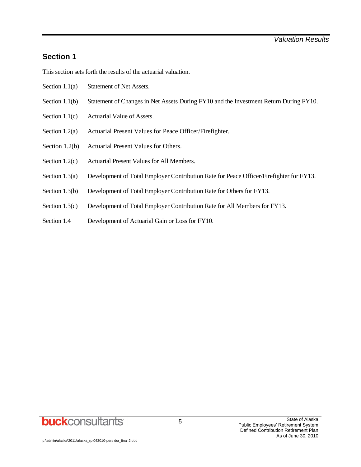### **Section 1**

This section sets forth the results of the actuarial valuation.

- Section 1.1(a) Statement of Net Assets.
- Section 1.1(b) Statement of Changes in Net Assets During FY10 and the Investment Return During FY10.
- Section 1.1(c) Actuarial Value of Assets.
- Section 1.2(a) Actuarial Present Values for Peace Officer/Firefighter.
- Section 1.2(b) Actuarial Present Values for Others.
- Section 1.2(c) Actuarial Present Values for All Members.
- Section 1.3(a) Development of Total Employer Contribution Rate for Peace Officer/Firefighter for FY13.
- Section 1.3(b) Development of Total Employer Contribution Rate for Others for FY13.
- Section 1.3(c) Development of Total Employer Contribution Rate for All Members for FY13.
- Section 1.4 Development of Actuarial Gain or Loss for FY10.

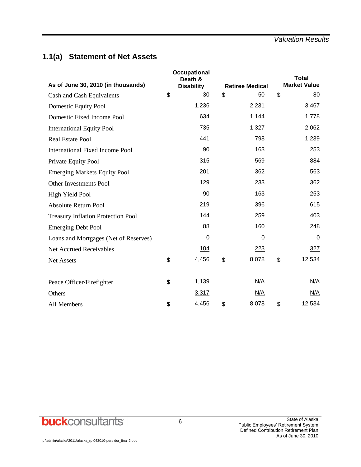### **1.1(a) Statement of Net Assets**

| As of June 30, 2010 (in thousands)        | Occupational<br>Death &<br><b>Disability</b> | <b>Retiree Medical</b> | <b>Total</b><br><b>Market Value</b> |
|-------------------------------------------|----------------------------------------------|------------------------|-------------------------------------|
| Cash and Cash Equivalents                 | \$<br>30                                     | \$<br>50               | \$<br>80                            |
| Domestic Equity Pool                      | 1,236                                        | 2,231                  | 3,467                               |
| Domestic Fixed Income Pool                | 634                                          | 1,144                  | 1,778                               |
| <b>International Equity Pool</b>          | 735                                          | 1,327                  | 2,062                               |
| <b>Real Estate Pool</b>                   | 441                                          | 798                    | 1,239                               |
| <b>International Fixed Income Pool</b>    | 90                                           | 163                    | 253                                 |
| Private Equity Pool                       | 315                                          | 569                    | 884                                 |
| <b>Emerging Markets Equity Pool</b>       | 201                                          | 362                    | 563                                 |
| Other Investments Pool                    | 129                                          | 233                    | 362                                 |
| <b>High Yield Pool</b>                    | 90                                           | 163                    | 253                                 |
| <b>Absolute Return Pool</b>               | 219                                          | 396                    | 615                                 |
| <b>Treasury Inflation Protection Pool</b> | 144                                          | 259                    | 403                                 |
| <b>Emerging Debt Pool</b>                 | 88                                           | 160                    | 248                                 |
| Loans and Mortgages (Net of Reserves)     | 0                                            | 0                      | $\Omega$                            |
| <b>Net Accrued Receivables</b>            | 104                                          | 223                    | 327                                 |
| <b>Net Assets</b>                         | \$<br>4,456                                  | \$<br>8,078            | \$<br>12,534                        |
|                                           |                                              |                        |                                     |
| Peace Officer/Firefighter                 | \$<br>1,139                                  | N/A                    | N/A                                 |
| Others                                    | 3,317                                        | N/A                    | N/A                                 |
| All Members                               | \$<br>4,456                                  | \$<br>8,078            | \$<br>12,534                        |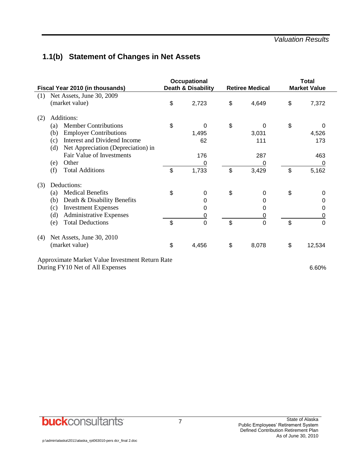### **1.1(b) Statement of Changes in Net Assets**

| Fiscal Year 2010 (in thousands)                 | <b>Occupational</b><br>Death & Disability | <b>Retiree Medical</b> | <b>Total</b><br><b>Market Value</b> |
|-------------------------------------------------|-------------------------------------------|------------------------|-------------------------------------|
| Net Assets, June 30, 2009<br>(1)                |                                           |                        |                                     |
| (market value)                                  | \$<br>2,723                               | \$<br>4,649            | \$<br>7,372                         |
| Additions:<br>(2)                               |                                           |                        |                                     |
| <b>Member Contributions</b><br>(a)              | \$<br>0                                   | \$<br>0                | \$<br>0                             |
| <b>Employer Contributions</b><br>(b)            | 1,495                                     | 3,031                  | 4,526                               |
| Interest and Dividend Income<br>(c)             | 62                                        | 111                    | 173                                 |
| Net Appreciation (Depreciation) in<br>(d)       |                                           |                        |                                     |
| Fair Value of Investments                       | 176                                       | 287                    | 463                                 |
| Other<br>(e)                                    | 0                                         | 0                      | 0                                   |
| <b>Total Additions</b><br>(f)                   | \$<br>1,733                               | \$<br>3,429            | \$<br>5,162                         |
| Deductions:<br>(3)                              |                                           |                        |                                     |
| <b>Medical Benefits</b><br>(a)                  | \$<br>$\mathbf 0$                         | \$<br>$\Omega$         | \$<br>0                             |
| Death & Disability Benefits<br>(b)              | 0                                         | 0                      | 0                                   |
| <b>Investment Expenses</b><br>(c)               | 0                                         | 0                      | 0                                   |
| <b>Administrative Expenses</b><br>(d)           | $\overline{0}$                            | 0                      | 0                                   |
| <b>Total Deductions</b><br>(e)                  | \$<br>$\overline{0}$                      | \$<br>0                | \$<br>$\Omega$                      |
| Net Assets, June 30, 2010<br>(4)                |                                           |                        |                                     |
| (market value)                                  | \$<br>4,456                               | \$<br>8,078            | \$<br>12,534                        |
| Approximate Market Value Investment Return Rate |                                           |                        |                                     |
| During FY10 Net of All Expenses                 |                                           |                        | 6.60%                               |

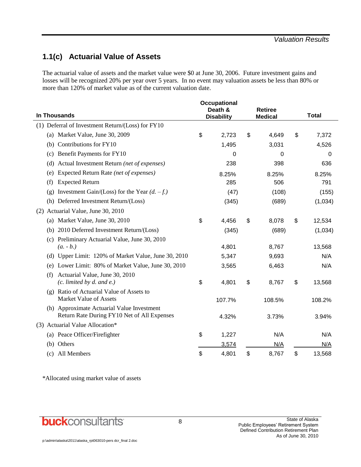### **1.1(c) Actuarial Value of Assets**

The actuarial value of assets and the market value were \$0 at June 30, 2006. Future investment gains and losses will be recognized 20% per year over 5 years. In no event may valuation assets be less than 80% or more than 120% of market value as of the current valuation date.

| In Thousands                                                                              | <b>Occupational</b><br>Death &<br><b>Disability</b> | <b>Retiree</b><br><b>Medical</b> | <b>Total</b> |         |
|-------------------------------------------------------------------------------------------|-----------------------------------------------------|----------------------------------|--------------|---------|
| (1) Deferral of Investment Return/(Loss) for FY10                                         |                                                     |                                  |              |         |
| (a) Market Value, June 30, 2009                                                           | \$<br>2,723                                         | \$<br>4,649                      | \$           | 7,372   |
| (b) Contributions for FY10                                                                | 1,495                                               | 3,031                            |              | 4,526   |
| Benefit Payments for FY10<br>(c)                                                          | 0                                                   | 0                                |              | 0       |
| Actual Investment Return (net of expenses)<br>(d)                                         | 238                                                 | 398                              |              | 636     |
| Expected Return Rate (net of expenses)<br>(e)                                             | 8.25%                                               | 8.25%                            |              | 8.25%   |
| <b>Expected Return</b><br>(f)                                                             | 285                                                 | 506                              |              | 791     |
| Investment Gain/(Loss) for the Year $(d. -f.)$<br>(g)                                     | (47)                                                | (108)                            |              | (155)   |
| (h) Deferred Investment Return/(Loss)                                                     | (345)                                               | (689)                            |              | (1,034) |
| Actuarial Value, June 30, 2010<br>(2)                                                     |                                                     |                                  |              |         |
| Market Value, June 30, 2010<br>(a)                                                        | \$<br>4,456                                         | \$<br>8,078                      | \$           | 12,534  |
| 2010 Deferred Investment Return/(Loss)<br>(b)                                             | (345)                                               | (689)                            |              | (1,034) |
| Preliminary Actuarial Value, June 30, 2010<br>(c)<br>$(a. - b.)$                          | 4,801                                               | 8,767                            |              | 13,568  |
| (d) Upper Limit: 120% of Market Value, June 30, 2010                                      | 5,347                                               | 9,693                            |              | N/A     |
| Lower Limit: 80% of Market Value, June 30, 2010<br>(e)                                    | 3,565                                               | 6,463                            |              | N/A     |
| Actuarial Value, June 30, 2010<br>(f)<br>$(c.$ limited by $d.$ and $e.$ )                 | \$<br>4,801                                         | \$<br>8,767                      | \$           | 13,568  |
| Ratio of Actuarial Value of Assets to<br>$(\mathfrak{g})$<br>Market Value of Assets       | 107.7%                                              | 108.5%                           |              | 108.2%  |
| (h) Approximate Actuarial Value Investment<br>Return Rate During FY10 Net of All Expenses | 4.32%                                               | 3.73%                            |              | 3.94%   |
| (3) Actuarial Value Allocation*                                                           |                                                     |                                  |              |         |
| (a) Peace Officer/Firefighter                                                             | \$<br>1,227                                         | N/A                              |              | N/A     |
| (b) Others                                                                                | 3,574                                               | N/A                              |              | N/A     |
| (c) All Members                                                                           | \$<br>4,801                                         | \$<br>8,767                      | \$           | 13,568  |

\*Allocated using market value of assets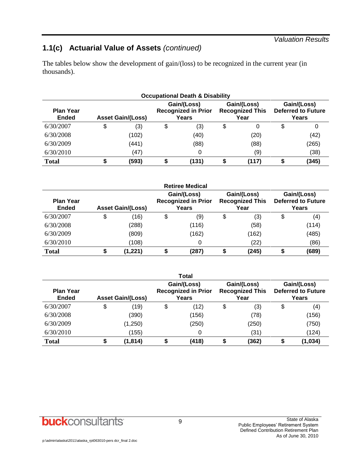#### *Valuation Results*

### **1.1(c) Actuarial Value of Assets** *(continued)*

The tables below show the development of gain/(loss) to be recognized in the current year (in thousands).

| <b>Occupational Death &amp; Disability</b> |    |                          |    |                                                    |    |                                               |   |                                                   |  |  |  |
|--------------------------------------------|----|--------------------------|----|----------------------------------------------------|----|-----------------------------------------------|---|---------------------------------------------------|--|--|--|
| <b>Plan Year</b><br><b>Ended</b>           |    | <b>Asset Gain/(Loss)</b> |    | Gain/(Loss)<br><b>Recognized in Prior</b><br>Years |    | Gain/(Loss)<br><b>Recognized This</b><br>Year |   | Gain/(Loss)<br><b>Deferred to Future</b><br>Years |  |  |  |
| 6/30/2007                                  | \$ | (3)                      | \$ | (3)                                                | \$ | 0                                             | S | 0                                                 |  |  |  |
| 6/30/2008                                  |    | (102)                    |    | (40)                                               |    | (20)                                          |   | (42)                                              |  |  |  |
| 6/30/2009                                  |    | (441)                    |    | (88)                                               |    | (88)                                          |   | (265)                                             |  |  |  |
| 6/30/2010                                  |    | (47)                     |    |                                                    |    | (9)                                           |   | (38)                                              |  |  |  |
| <b>Total</b>                               |    | (593)                    |    | (131)                                              |    | (117)                                         |   | (345)                                             |  |  |  |

|                                  |                          | <b>Retiree Medical</b>                             |                                               |                                                   |
|----------------------------------|--------------------------|----------------------------------------------------|-----------------------------------------------|---------------------------------------------------|
| <b>Plan Year</b><br><b>Ended</b> | <b>Asset Gain/(Loss)</b> | Gain/(Loss)<br><b>Recognized in Prior</b><br>Years | Gain/(Loss)<br><b>Recognized This</b><br>Year | Gain/(Loss)<br><b>Deferred to Future</b><br>Years |
| 6/30/2007                        | \$<br>(16)               | \$<br>(9)                                          | \$<br>(3)                                     | \$<br>(4)                                         |
| 6/30/2008                        | (288)                    | (116)                                              | (58)                                          | (114)                                             |
| 6/30/2009                        | (809)                    | (162)                                              | (162)                                         | (485)                                             |
| 6/30/2010                        | (108)                    | 0                                                  | (22)                                          | (86)                                              |
| <b>Total</b>                     | (1, 221)                 | (287)                                              | (245)                                         | (689)                                             |

|                                  |                          |    | <b>Total</b>                                       |                                               |                                                   |
|----------------------------------|--------------------------|----|----------------------------------------------------|-----------------------------------------------|---------------------------------------------------|
| <b>Plan Year</b><br><b>Ended</b> | <b>Asset Gain/(Loss)</b> |    | Gain/(Loss)<br><b>Recognized in Prior</b><br>Years | Gain/(Loss)<br><b>Recognized This</b><br>Year | Gain/(Loss)<br><b>Deferred to Future</b><br>Years |
| 6/30/2007                        | \$<br>(19)               | \$ | (12)                                               | \$<br>(3)                                     | \$<br>(4)                                         |
| 6/30/2008                        | (390)                    |    | (156)                                              | (78)                                          | (156)                                             |
| 6/30/2009                        | (1,250)                  |    | (250)                                              | (250)                                         | (750)                                             |
| 6/30/2010                        | (155)                    |    | 0                                                  | (31)                                          | (124)                                             |
| <b>Total</b>                     | \$<br>(1, 814)           | S  | (418)                                              | (362)                                         | (1, 034)                                          |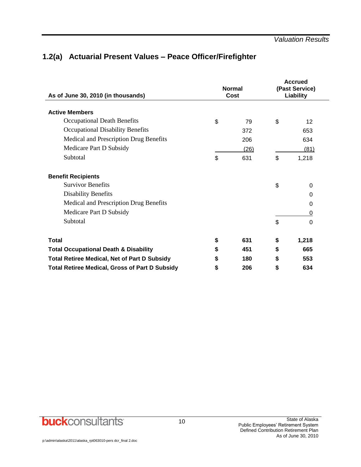### **1.2(a) Actuarial Present Values – Peace Officer/Firefighter**

| As of June 30, 2010 (in thousands)                    |    | <b>Normal</b><br>Cost |    | <b>Accrued</b><br>(Past Service)<br>Liability |
|-------------------------------------------------------|----|-----------------------|----|-----------------------------------------------|
| <b>Active Members</b>                                 |    |                       |    |                                               |
| Occupational Death Benefits                           | \$ | 79                    | \$ | 12                                            |
| Occupational Disability Benefits                      |    | 372                   |    | 653                                           |
| Medical and Prescription Drug Benefits                |    | 206                   |    | 634                                           |
| Medicare Part D Subsidy                               |    | (26)                  |    | (81)                                          |
| Subtotal                                              | \$ | 631                   | \$ | 1,218                                         |
| <b>Benefit Recipients</b>                             |    |                       |    |                                               |
| <b>Survivor Benefits</b>                              |    |                       | \$ | 0                                             |
| <b>Disability Benefits</b>                            |    |                       |    | 0                                             |
| Medical and Prescription Drug Benefits                |    |                       |    | 0                                             |
| Medicare Part D Subsidy                               |    |                       |    | 0                                             |
| Subtotal                                              |    |                       | \$ | 0                                             |
| <b>Total</b>                                          | \$ | 631                   | \$ | 1,218                                         |
| <b>Total Occupational Death &amp; Disability</b>      | \$ | 451                   | \$ | 665                                           |
| <b>Total Retiree Medical, Net of Part D Subsidy</b>   | S  | 180                   | S  | 553                                           |
| <b>Total Retiree Medical, Gross of Part D Subsidy</b> | \$ | 206                   | \$ | 634                                           |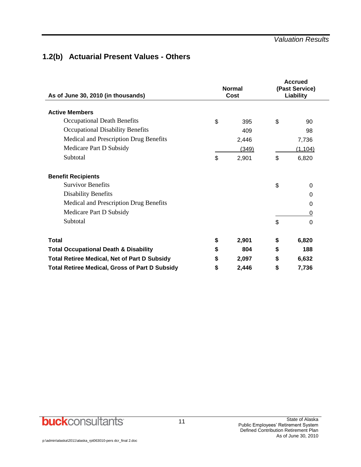### **1.2(b) Actuarial Present Values - Others**

| As of June 30, 2010 (in thousands)                    |    | <b>Normal</b><br>Cost | <b>Accrued</b><br>(Past Service)<br>Liability |          |  |
|-------------------------------------------------------|----|-----------------------|-----------------------------------------------|----------|--|
| <b>Active Members</b>                                 |    |                       |                                               |          |  |
| Occupational Death Benefits                           | \$ | 395                   | \$                                            | 90       |  |
| <b>Occupational Disability Benefits</b>               |    | 409                   |                                               | 98       |  |
| Medical and Prescription Drug Benefits                |    | 2,446                 |                                               | 7,736    |  |
| Medicare Part D Subsidy                               |    | (349)                 |                                               | (1, 104) |  |
| Subtotal                                              | \$ | 2,901                 | \$                                            | 6,820    |  |
| <b>Benefit Recipients</b>                             |    |                       |                                               |          |  |
| <b>Survivor Benefits</b>                              |    |                       | \$                                            | 0        |  |
| <b>Disability Benefits</b>                            |    |                       |                                               | 0        |  |
| Medical and Prescription Drug Benefits                |    |                       |                                               | 0        |  |
| Medicare Part D Subsidy                               |    |                       |                                               | 0        |  |
| Subtotal                                              |    |                       | \$                                            | 0        |  |
| <b>Total</b>                                          | \$ | 2,901                 | \$                                            | 6,820    |  |
| <b>Total Occupational Death &amp; Disability</b>      | \$ | 804                   | \$                                            | 188      |  |
| <b>Total Retiree Medical, Net of Part D Subsidy</b>   | S  | 2,097                 | \$                                            | 6,632    |  |
| <b>Total Retiree Medical, Gross of Part D Subsidy</b> | \$ | 2,446                 | \$                                            | 7,736    |  |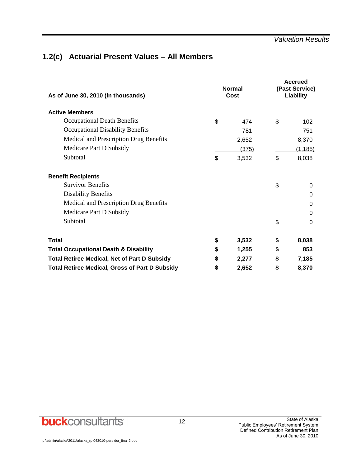### **1.2(c) Actuarial Present Values – All Members**

| As of June 30, 2010 (in thousands)                    | <b>Normal</b><br>Cost | <b>Accrued</b><br>(Past Service)<br>Liability |          |  |
|-------------------------------------------------------|-----------------------|-----------------------------------------------|----------|--|
| <b>Active Members</b>                                 |                       |                                               |          |  |
| Occupational Death Benefits                           | \$<br>474             | \$                                            | 102      |  |
| <b>Occupational Disability Benefits</b>               | 781                   |                                               | 751      |  |
| Medical and Prescription Drug Benefits                | 2,652                 |                                               | 8,370    |  |
| Medicare Part D Subsidy                               | (375)                 |                                               | (1, 185) |  |
| Subtotal                                              | \$<br>3,532           | \$                                            | 8,038    |  |
| <b>Benefit Recipients</b>                             |                       |                                               |          |  |
| <b>Survivor Benefits</b>                              |                       | \$                                            | 0        |  |
| Disability Benefits                                   |                       |                                               | $\Omega$ |  |
| Medical and Prescription Drug Benefits                |                       |                                               | 0        |  |
| Medicare Part D Subsidy                               |                       |                                               | 0        |  |
| Subtotal                                              |                       | \$                                            | $\Omega$ |  |
| <b>Total</b>                                          | \$<br>3,532           | \$                                            | 8,038    |  |
| <b>Total Occupational Death &amp; Disability</b>      | \$<br>1,255           | \$                                            | 853      |  |
| <b>Total Retiree Medical, Net of Part D Subsidy</b>   | \$<br>2,277           | \$                                            | 7,185    |  |
| <b>Total Retiree Medical, Gross of Part D Subsidy</b> | \$<br>2,652           | \$                                            | 8,370    |  |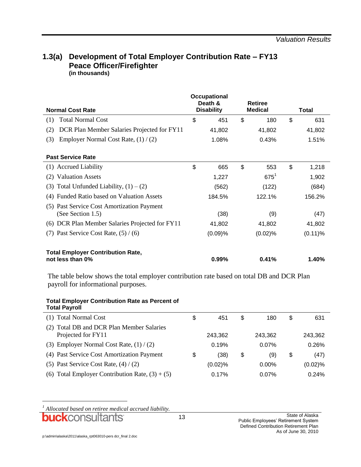### **1.3(a) Development of Total Employer Contribution Rate – FY13 Peace Officer/Firefighter (in thousands)**

| <b>Normal Cost Rate</b>                                            | Occupational<br>Death &<br><b>Disability</b> | <b>Retiree</b><br><b>Medical</b> | <b>Total</b> |
|--------------------------------------------------------------------|----------------------------------------------|----------------------------------|--------------|
| <b>Total Normal Cost</b><br>(1)                                    | \$<br>451                                    | \$<br>180                        | \$<br>631    |
| DCR Plan Member Salaries Projected for FY11<br>(2)                 | 41,802                                       | 41,802                           | 41,802       |
| Employer Normal Cost Rate, $(1) / (2)$<br>(3)                      | 1.08%                                        | 0.43%                            | 1.51%        |
| <b>Past Service Rate</b>                                           |                                              |                                  |              |
| (1) Accrued Liability                                              | \$<br>665                                    | \$<br>553                        | \$<br>1,218  |
| <b>Valuation Assets</b><br>(2)                                     | 1,227                                        | $675^1$                          | 1,902        |
| Total Unfunded Liability, $(1) - (2)$<br>(3)                       | (562)                                        | (122)                            | (684)        |
| Funded Ratio based on Valuation Assets<br>(4)                      | 184.5%                                       | 122.1%                           | 156.2%       |
| Past Service Cost Amortization Payment<br>(5)<br>(See Section 1.5) | (38)                                         | (9)                              | (47)         |
| (6) DCR Plan Member Salaries Projected for FY11                    | 41,802                                       | 41,802                           | 41,802       |
| Past Service Cost Rate, $(5) / (6)$<br>(7)                         | (0.09)%                                      | (0.02)%                          | $(0.11)\%$   |
| <b>Total Employer Contribution Rate,</b><br>not less than 0%       | $0.99\%$                                     | 0.41%                            | 1.40%        |

The table below shows the total employer contribution rate based on total DB and DCR Plan payroll for informational purposes.

#### **Total Employer Contribution Rate as Percent of Total Payroll**

| (1) Total Normal Cost                                           | \$<br>451  | \$<br>180 | \$ | 631     |
|-----------------------------------------------------------------|------------|-----------|----|---------|
| (2) Total DB and DCR Plan Member Salaries<br>Projected for FY11 | 243.362    | 243.362   |    | 243,362 |
| (3) Employer Normal Cost Rate, $(1) / (2)$                      | 0.19%      | $0.07\%$  |    | 0.26%   |
| (4) Past Service Cost Amortization Payment                      | \$<br>(38) | \$<br>(9) | S  | (47)    |
| (5) Past Service Cost Rate, $(4) / (2)$                         | $(0.02)$ % | $0.00\%$  |    | (0.02)% |
| (6) Total Employer Contribution Rate, $(3) + (5)$               | 0.17%      | $0.07\%$  |    | 0.24%   |

*<sup>1</sup> Allocated based on retiree medical accrued liability.*

l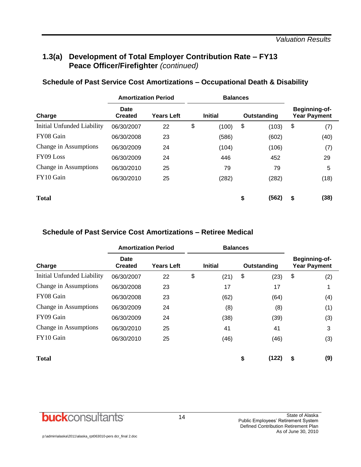### **1.3(a) Development of Total Employer Contribution Rate – FY13 Peace Officer/Firefighter** *(continued)*

|                            | <b>Amortization Period</b> |                   |    | <b>Balances</b> |    |             |    |                                             |  |  |  |
|----------------------------|----------------------------|-------------------|----|-----------------|----|-------------|----|---------------------------------------------|--|--|--|
| Charge                     | Date<br><b>Created</b>     | <b>Years Left</b> |    | <b>Initial</b>  |    | Outstanding |    | <b>Beginning-of-</b><br><b>Year Payment</b> |  |  |  |
| Initial Unfunded Liability | 06/30/2007                 | 22                | \$ | (100)           | \$ | (103)       | \$ | (7)                                         |  |  |  |
| FY08 Gain                  | 06/30/2008                 | 23                |    | (586)           |    | (602)       |    | (40)                                        |  |  |  |
| Change in Assumptions      | 06/30/2009                 | 24                |    | (104)           |    | (106)       |    | (7)                                         |  |  |  |
| FY09 Loss                  | 06/30/2009                 | 24                |    | 446             |    | 452         |    | 29                                          |  |  |  |
| Change in Assumptions      | 06/30/2010                 | 25                |    | 79              |    | 79          |    | 5                                           |  |  |  |
| FY10 Gain                  | 06/30/2010                 | 25                |    | (282)           |    | (282)       |    | (18)                                        |  |  |  |
| <b>Total</b>               |                            |                   |    |                 | \$ | (562)       | \$ | (38)                                        |  |  |  |

### **Schedule of Past Service Cost Amortizations – Occupational Death & Disability**

### **Schedule of Past Service Cost Amortizations – Retiree Medical**

|                            | <b>Amortization Period</b>    |                   |    | <b>Balances</b> |    |             |    |                                      |
|----------------------------|-------------------------------|-------------------|----|-----------------|----|-------------|----|--------------------------------------|
| Charge                     | <b>Date</b><br><b>Created</b> | <b>Years Left</b> |    | <b>Initial</b>  |    | Outstanding |    | Beginning-of-<br><b>Year Payment</b> |
| Initial Unfunded Liability | 06/30/2007                    | 22                | \$ | (21)            | \$ | (23)        | \$ | (2)                                  |
| Change in Assumptions      | 06/30/2008                    | 23                |    | 17              |    | 17          |    |                                      |
| FY08 Gain                  | 06/30/2008                    | 23                |    | (62)            |    | (64)        |    | (4)                                  |
| Change in Assumptions      | 06/30/2009                    | 24                |    | (8)             |    | (8)         |    | (1)                                  |
| FY09 Gain                  | 06/30/2009                    | 24                |    | (38)            |    | (39)        |    | (3)                                  |
| Change in Assumptions      | 06/30/2010                    | 25                |    | 41              |    | 41          |    | 3                                    |
| FY10 Gain                  | 06/30/2010                    | 25                |    | (46)            |    | (46)        |    | (3)                                  |
| <b>Total</b>               |                               |                   |    |                 | \$ | (122)       | \$ | (9)                                  |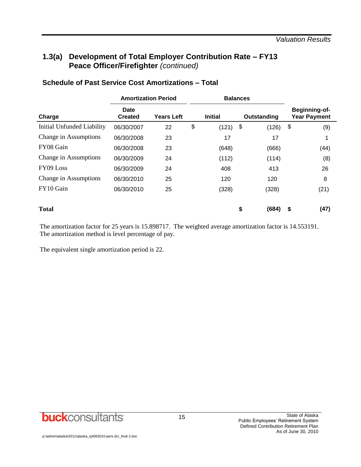### **1.3(a) Development of Total Employer Contribution Rate – FY13 Peace Officer/Firefighter** *(continued)*

|                            | <b>Amortization Period</b> |                   |    | <b>Balances</b> |    |             |    |                                      |
|----------------------------|----------------------------|-------------------|----|-----------------|----|-------------|----|--------------------------------------|
| Charge                     | Date<br><b>Created</b>     | <b>Years Left</b> |    | <b>Initial</b>  |    | Outstanding |    | Beginning-of-<br><b>Year Payment</b> |
| Initial Unfunded Liability | 06/30/2007                 | 22                | \$ | (121)           | \$ | (126)       | \$ | (9)                                  |
| Change in Assumptions      | 06/30/2008                 | 23                |    | 17              |    | 17          |    | 1                                    |
| FY08 Gain                  | 06/30/2008                 | 23                |    | (648)           |    | (666)       |    | (44)                                 |
| Change in Assumptions      | 06/30/2009                 | 24                |    | (112)           |    | (114)       |    | (8)                                  |
| FY09 Loss                  | 06/30/2009                 | 24                |    | 408             |    | 413         |    | 26                                   |
| Change in Assumptions      | 06/30/2010                 | 25                |    | 120             |    | 120         |    | 8                                    |
| FY10 Gain                  | 06/30/2010                 | 25                |    | (328)           |    | (328)       |    | (21)                                 |
| <b>Total</b>               |                            |                   |    |                 | \$ | (684)       | S  | (47)                                 |

### **Schedule of Past Service Cost Amortizations – Total**

The amortization factor for 25 years is 15.898717. The weighted average amortization factor is 14.553191. The amortization method is level percentage of pay.

The equivalent single amortization period is 22.

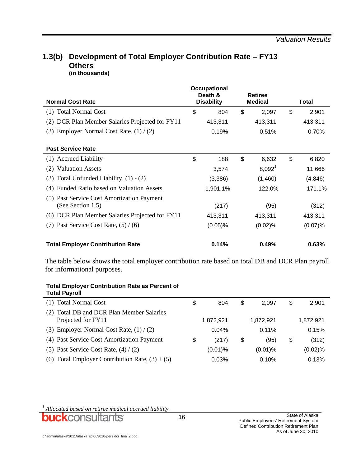#### **1.3(b) Development of Total Employer Contribution Rate – FY13 Others (in thousands)**

| <b>Normal Cost Rate</b>                                         |    | <b>Occupational</b><br>Death &<br><b>Disability</b> |    | <b>Retiree</b><br><b>Medical</b> |    | Total   |  |
|-----------------------------------------------------------------|----|-----------------------------------------------------|----|----------------------------------|----|---------|--|
| (1) Total Normal Cost                                           | \$ | 804                                                 | \$ | 2,097                            | \$ | 2,901   |  |
| (2) DCR Plan Member Salaries Projected for FY11                 |    | 413,311                                             |    | 413,311                          |    | 413,311 |  |
| Employer Normal Cost Rate, $(1) / (2)$<br>(3)                   |    | 0.19%                                               |    | 0.51%                            |    | 0.70%   |  |
| <b>Past Service Rate</b>                                        |    |                                                     |    |                                  |    |         |  |
| (1) Accrued Liability                                           | \$ | 188                                                 | \$ | 6,632                            | \$ | 6,820   |  |
| (2) Valuation Assets                                            |    | 3,574                                               |    | $8,092^1$                        |    | 11,666  |  |
| Total Unfunded Liability, $(1) - (2)$<br>(3)                    |    | (3,386)                                             |    | (1,460)                          |    | (4,846) |  |
| <b>Funded Ratio based on Valuation Assets</b><br>(4)            |    | 1,901.1%                                            |    | 122.0%                           |    | 171.1%  |  |
| (5) Past Service Cost Amortization Payment<br>(See Section 1.5) |    | (217)                                               |    | (95)                             |    | (312)   |  |
| (6) DCR Plan Member Salaries Projected for FY11                 |    | 413,311                                             |    | 413,311                          |    | 413,311 |  |
| (7) Past Service Cost Rate, $(5) / (6)$                         |    | $(0.05)$ %                                          |    | (0.02)%                          |    | (0.07)% |  |
| <b>Total Employer Contribution Rate</b>                         |    | 0.14%                                               |    | 0.49%                            |    | 0.63%   |  |

The table below shows the total employer contribution rate based on total DB and DCR Plan payroll for informational purposes.

#### **Total Employer Contribution Rate as Percent of Total Payroll**

| (1) Total Normal Cost                                              | \$<br>804   | \$<br>2.097 | S  | 2,901     |
|--------------------------------------------------------------------|-------------|-------------|----|-----------|
| Total DB and DCR Plan Member Salaries<br>(2)<br>Projected for FY11 | 1,872,921   | 1,872,921   |    | 1,872,921 |
| (3) Employer Normal Cost Rate, $(1) / (2)$                         | 0.04%       | 0.11%       |    | 0.15%     |
| (4) Past Service Cost Amortization Payment                         | \$<br>(217) | \$<br>(95)  | \$ | (312)     |
| (5) Past Service Cost Rate, $(4) / (2)$                            | $(0.01)$ %  | $(0.01)\%$  |    | (0.02)%   |
| (6) Total Employer Contribution Rate, $(3) + (5)$                  | 0.03%       | 0.10%       |    | 0.13%     |

l

*<sup>1</sup> Allocated based on retiree medical accrued liability.*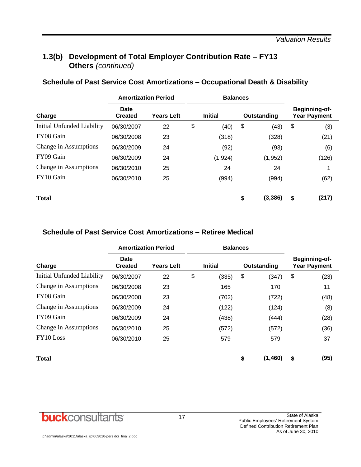### **1.3(b) Development of Total Employer Contribution Rate – FY13 Others** *(continued)*

| Schedule of Past Service Cost Amortizations - Occupational Death & Disability |  |  |
|-------------------------------------------------------------------------------|--|--|
|-------------------------------------------------------------------------------|--|--|

| <b>Amortization Period</b> |                        |                   |    | <b>Balances</b>               |    |          |                                      |       |
|----------------------------|------------------------|-------------------|----|-------------------------------|----|----------|--------------------------------------|-------|
| Charge                     | Date<br><b>Created</b> | <b>Years Left</b> |    | <b>Initial</b><br>Outstanding |    |          | Beginning-of-<br><b>Year Payment</b> |       |
| Initial Unfunded Liability | 06/30/2007             | 22                | \$ | (40)                          | \$ | (43)     | \$                                   | (3)   |
| FY08 Gain                  | 06/30/2008             | 23                |    | (318)                         |    | (328)    |                                      | (21)  |
| Change in Assumptions      | 06/30/2009             | 24                |    | (92)                          |    | (93)     |                                      | (6)   |
| FY09 Gain                  | 06/30/2009             | 24                |    | (1,924)                       |    | (1,952)  |                                      | (126) |
| Change in Assumptions      | 06/30/2010             | 25                |    | 24                            |    | 24       |                                      | 1     |
| FY10 Gain                  | 06/30/2010             | 25                |    | (994)                         |    | (994)    |                                      | (62)  |
| <b>Total</b>               |                        |                   |    |                               | \$ | (3, 386) | \$                                   | (217) |

### **Schedule of Past Service Cost Amortizations – Retiree Medical**

|                            |                        | <b>Amortization Period</b> | <b>Balances</b> |    |             |                                             |      |  |
|----------------------------|------------------------|----------------------------|-----------------|----|-------------|---------------------------------------------|------|--|
| Charge                     | Date<br><b>Created</b> | <b>Years Left</b>          | <b>Initial</b>  |    | Outstanding | <b>Beginning-of-</b><br><b>Year Payment</b> |      |  |
| Initial Unfunded Liability | 06/30/2007             | 22                         | \$<br>(335)     | \$ | (347)       | \$                                          | (23) |  |
| Change in Assumptions      | 06/30/2008             | 23                         | 165             |    | 170         |                                             | 11   |  |
| FY08 Gain                  | 06/30/2008             | 23                         | (702)           |    | (722)       |                                             | (48) |  |
| Change in Assumptions      | 06/30/2009             | 24                         | (122)           |    | (124)       |                                             | (8)  |  |
| FY09 Gain                  | 06/30/2009             | 24                         | (438)           |    | (444)       |                                             | (28) |  |
| Change in Assumptions      | 06/30/2010             | 25                         | (572)           |    | (572)       |                                             | (36) |  |
| FY10 Loss                  | 06/30/2010             | 25                         | 579             |    | 579         |                                             | 37   |  |
| <b>Total</b>               |                        |                            |                 | \$ | (1,460)     | \$                                          | (95) |  |

**buck**consultants

l,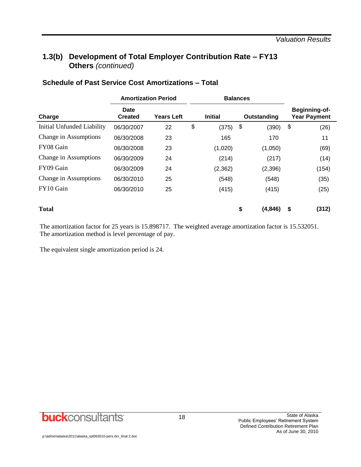### **1.3(b) Development of Total Employer Contribution Rate – FY13 Others** *(continued)*

|                            | <b>Amortization Period</b> |                   |    | <b>Balances</b> |             |          |                                      |       |  |
|----------------------------|----------------------------|-------------------|----|-----------------|-------------|----------|--------------------------------------|-------|--|
| Charge                     | Date<br><b>Created</b>     | <b>Years Left</b> |    | <b>Initial</b>  | Outstanding |          | Beginning-of-<br><b>Year Payment</b> |       |  |
| Initial Unfunded Liability | 06/30/2007                 | 22                | \$ | (375)           | \$          | (390)    | \$                                   | (26)  |  |
| Change in Assumptions      | 06/30/2008                 | 23                |    | 165             |             | 170      |                                      | 11    |  |
| FY08 Gain                  | 06/30/2008                 | 23                |    | (1,020)         |             | (1,050)  |                                      | (69)  |  |
| Change in Assumptions      | 06/30/2009                 | 24                |    | (214)           |             | (217)    |                                      | (14)  |  |
| FY09 Gain                  | 06/30/2009                 | 24                |    | (2, 362)        |             | (2,396)  |                                      | (154) |  |
| Change in Assumptions      | 06/30/2010                 | 25                |    | (548)           |             | (548)    |                                      | (35)  |  |
| FY10 Gain                  | 06/30/2010                 | 25                |    | (415)           |             | (415)    |                                      | (25)  |  |
| <b>Total</b>               |                            |                   |    |                 | \$          | (4, 846) | \$                                   | (312) |  |

#### **Schedule of Past Service Cost Amortizations – Total**

The amortization factor for 25 years is 15.898717. The weighted average amortization factor is 15.532051. The amortization method is level percentage of pay.

The equivalent single amortization period is 24.

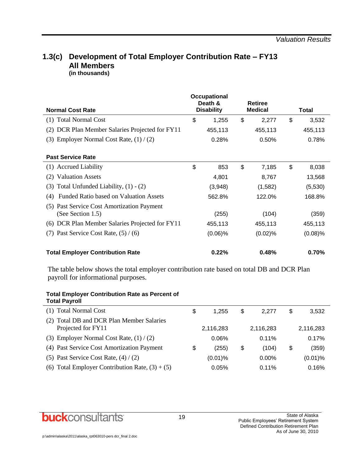#### **1.3(c) Development of Total Employer Contribution Rate – FY13 All Members (in thousands)**

| <b>Normal Cost Rate</b>                                            | <b>Occupational</b><br>Death &<br><b>Disability</b> |            | <b>Retiree</b><br><b>Medical</b> |         | Total       |
|--------------------------------------------------------------------|-----------------------------------------------------|------------|----------------------------------|---------|-------------|
| <b>Total Normal Cost</b><br>(1)                                    | \$                                                  | 1,255      | \$                               | 2,277   | \$<br>3,532 |
| DCR Plan Member Salaries Projected for FY11<br>(2)                 |                                                     | 455,113    |                                  | 455,113 | 455,113     |
| Employer Normal Cost Rate, $(1) / (2)$<br>(3)                      |                                                     | 0.28%      |                                  | 0.50%   | 0.78%       |
| <b>Past Service Rate</b>                                           |                                                     |            |                                  |         |             |
| <b>Accrued Liability</b><br>(1)                                    | \$                                                  | 853        | \$                               | 7,185   | \$<br>8,038 |
| <b>Valuation Assets</b><br>(2)                                     |                                                     | 4,801      |                                  | 8,767   | 13,568      |
| Total Unfunded Liability, $(1) - (2)$<br>(3)                       |                                                     | (3,948)    |                                  | (1,582) | (5,530)     |
| <b>Funded Ratio based on Valuation Assets</b><br>(4)               |                                                     | 562.8%     |                                  | 122.0%  | 168.8%      |
| Past Service Cost Amortization Payment<br>(5)<br>(See Section 1.5) |                                                     | (255)      |                                  | (104)   | (359)       |
| DCR Plan Member Salaries Projected for FY11<br>(6)                 |                                                     | 455,113    |                                  | 455,113 | 455,113     |
| Past Service Cost Rate, $(5) / (6)$<br>(7)                         |                                                     | $(0.06)\%$ |                                  | (0.02)% | $(0.08)\%$  |
| <b>Total Employer Contribution Rate</b>                            |                                                     | 0.22%      |                                  | 0.48%   | 0.70%       |

The table below shows the total employer contribution rate based on total DB and DCR Plan payroll for informational purposes.

| <b>Total Employer Contribution Rate as Percent of</b> |  |  |
|-------------------------------------------------------|--|--|
| <b>Total Payroll</b>                                  |  |  |

| (1) Total Normal Cost                                              | \$<br>1.255 | \$<br>2.277 | S  | 3,532      |
|--------------------------------------------------------------------|-------------|-------------|----|------------|
| Total DB and DCR Plan Member Salaries<br>(2)<br>Projected for FY11 | 2,116,283   | 2,116,283   |    | 2,116,283  |
| (3) Employer Normal Cost Rate, $(1) / (2)$                         | 0.06%       | 0.11%       |    | 0.17%      |
| (4) Past Service Cost Amortization Payment                         | \$<br>(255) | \$<br>(104) | \$ | (359)      |
| (5) Past Service Cost Rate, $(4) / (2)$                            | $(0.01)\%$  | $0.00\%$    |    | $(0.01)$ % |
| (6) Total Employer Contribution Rate, $(3) + (5)$                  | 0.05%       | 0.11%       |    | 0.16%      |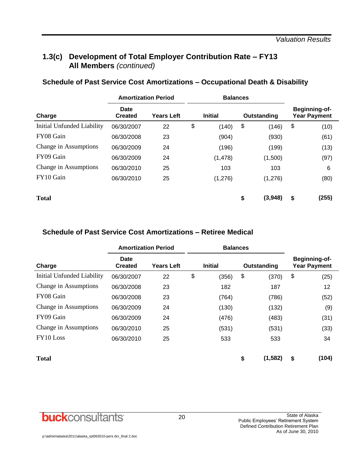### **1.3(c) Development of Total Employer Contribution Rate – FY13 All Members** *(continued)*

| Schedule of Past Service Cost Amortizations - Occupational Death & Disability |  |  |
|-------------------------------------------------------------------------------|--|--|
|-------------------------------------------------------------------------------|--|--|

|                            | <b>Amortization Period</b> |                   | <b>Balances</b> |          |             |         |                                             |       |  |
|----------------------------|----------------------------|-------------------|-----------------|----------|-------------|---------|---------------------------------------------|-------|--|
| Charge                     | Date<br><b>Created</b>     | <b>Years Left</b> | <b>Initial</b>  |          | Outstanding |         | <b>Beginning-of-</b><br><b>Year Payment</b> |       |  |
| Initial Unfunded Liability | 06/30/2007                 | 22                | \$              | (140)    | \$          | (146)   | \$                                          | (10)  |  |
| FY08 Gain                  | 06/30/2008                 | 23                |                 | (904)    |             | (930)   |                                             | (61)  |  |
| Change in Assumptions      | 06/30/2009                 | 24                |                 | (196)    |             | (199)   |                                             | (13)  |  |
| FY09 Gain                  | 06/30/2009                 | 24                |                 | (1, 478) |             | (1,500) |                                             | (97)  |  |
| Change in Assumptions      | 06/30/2010                 | 25                |                 | 103      |             | 103     |                                             | 6     |  |
| FY10 Gain                  | 06/30/2010                 | 25                |                 | (1,276)  |             | (1,276) |                                             | (80)  |  |
| <b>Total</b>               |                            |                   |                 |          | \$          | (3,948) | \$                                          | (255) |  |

### **Schedule of Past Service Cost Amortizations – Retiree Medical**

|                            |                        | <b>Amortization Period</b> | <b>Balances</b> |    |             |                                             |       |  |
|----------------------------|------------------------|----------------------------|-----------------|----|-------------|---------------------------------------------|-------|--|
| Charge                     | Date<br><b>Created</b> | <b>Years Left</b>          | <b>Initial</b>  |    | Outstanding | <b>Beginning-of-</b><br><b>Year Payment</b> |       |  |
| Initial Unfunded Liability | 06/30/2007             | 22                         | \$<br>(356)     | \$ | (370)       | \$                                          | (25)  |  |
| Change in Assumptions      | 06/30/2008             | 23                         | 182             |    | 187         |                                             | 12    |  |
| FY08 Gain                  | 06/30/2008             | 23                         | (764)           |    | (786)       |                                             | (52)  |  |
| Change in Assumptions      | 06/30/2009             | 24                         | (130)           |    | (132)       |                                             | (9)   |  |
| FY09 Gain                  | 06/30/2009             | 24                         | (476)           |    | (483)       |                                             | (31)  |  |
| Change in Assumptions      | 06/30/2010             | 25                         | (531)           |    | (531)       |                                             | (33)  |  |
| FY10 Loss                  | 06/30/2010             | 25                         | 533             |    | 533         |                                             | 34    |  |
| <b>Total</b>               |                        |                            |                 | \$ | (1, 582)    | \$                                          | (104) |  |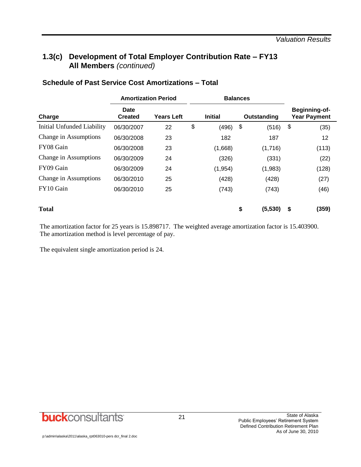### **1.3(c) Development of Total Employer Contribution Rate – FY13 All Members** *(continued)*

|                            | <b>Amortization Period</b> |                                     |    | <b>Balances</b> |                                      |    |       |
|----------------------------|----------------------------|-------------------------------------|----|-----------------|--------------------------------------|----|-------|
| Charge                     | Date<br><b>Created</b>     | <b>Initial</b><br><b>Years Left</b> |    | Outstanding     | Beginning-of-<br><b>Year Payment</b> |    |       |
| Initial Unfunded Liability | 06/30/2007                 | 22                                  | \$ | (496)           | \$<br>(516)                          | \$ | (35)  |
| Change in Assumptions      | 06/30/2008                 | 23                                  |    | 182             | 187                                  |    | 12    |
| FY08 Gain                  | 06/30/2008                 | 23                                  |    | (1,668)         | (1,716)                              |    | (113) |
| Change in Assumptions      | 06/30/2009                 | 24                                  |    | (326)           | (331)                                |    | (22)  |
| FY09 Gain                  | 06/30/2009                 | 24                                  |    | (1, 954)        | (1,983)                              |    | (128) |
| Change in Assumptions      | 06/30/2010                 | 25                                  |    | (428)           | (428)                                |    | (27)  |
| FY10 Gain                  | 06/30/2010                 | 25                                  |    | (743)           | (743)                                |    | (46)  |
| <b>Total</b>               |                            |                                     |    |                 | \$<br>(5,530)                        | \$ | (359) |

### **Schedule of Past Service Cost Amortizations – Total**

The amortization factor for 25 years is 15.898717. The weighted average amortization factor is 15.403900. The amortization method is level percentage of pay.

The equivalent single amortization period is 24.

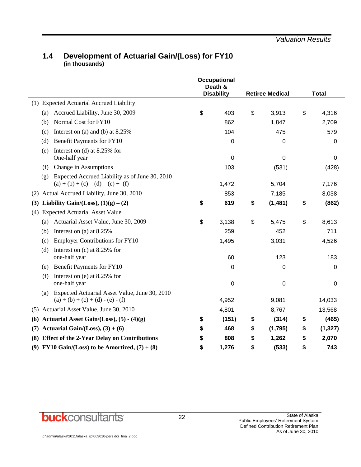### **1.4 Development of Actuarial Gain/(Loss) for FY10 (in thousands)**

|     |                                                                                             | <b>Occupational</b><br>Death &<br><b>Disability</b> |                        |                |
|-----|---------------------------------------------------------------------------------------------|-----------------------------------------------------|------------------------|----------------|
|     | (1) Expected Actuarial Accrued Liability                                                    |                                                     | <b>Retiree Medical</b> | <b>Total</b>   |
|     |                                                                                             |                                                     |                        |                |
|     | Accrued Liability, June 30, 2009<br>(a)                                                     | \$<br>403                                           | \$<br>3,913            | \$<br>4,316    |
|     | Normal Cost for FY10<br>(b)                                                                 | 862                                                 | 1,847                  | 2,709          |
|     | Interest on (a) and (b) at $8.25\%$<br>(c)                                                  | 104                                                 | 475                    | 579            |
|     | Benefit Payments for FY10<br>(d)                                                            | 0                                                   | 0                      | 0              |
|     | Interest on (d) at $8.25\%$ for<br>(e)<br>One-half year                                     | $\mathbf 0$                                         | $\mathbf 0$            | 0              |
|     | Change in Assumptions<br>(f)                                                                | 103                                                 | (531)                  | (428)          |
|     | Expected Accrued Liability as of June 30, 2010<br>(g)                                       |                                                     |                        |                |
|     | $(a) + (b) + (c) - (d) - (e) + (f)$                                                         | 1,472                                               | 5,704                  | 7,176          |
| (2) | Actual Accrued Liability, June 30, 2010                                                     | 853                                                 | 7,185                  | 8,038          |
| (3) | Liability Gain/(Loss), $(1)(g) - (2)$                                                       | \$<br>619                                           | \$<br>(1, 481)         | \$<br>(862)    |
| (4) | <b>Expected Actuarial Asset Value</b>                                                       |                                                     |                        |                |
|     | (a) Actuarial Asset Value, June 30, 2009                                                    | \$<br>3,138                                         | \$<br>5,475            | \$<br>8,613    |
|     | Interest on (a) at $8.25\%$<br>(b)                                                          | 259                                                 | 452                    | 711            |
|     | <b>Employer Contributions for FY10</b><br>(c)                                               | 1,495                                               | 3,031                  | 4,526          |
|     | Interest on $(c)$ at 8.25% for<br>(d)<br>one-half year                                      | 60                                                  | 123                    | 183            |
|     | Benefit Payments for FY10<br>(e)                                                            | 0                                                   | 0                      | 0              |
|     | Interest on (e) at 8.25% for<br>(f)                                                         |                                                     |                        |                |
|     | one-half year                                                                               | $\mathbf 0$                                         | $\mathbf 0$            | 0              |
|     | Expected Actuarial Asset Value, June 30, 2010<br>(g)<br>$(a) + (b) + (c) + (d) - (e) - (f)$ | 4,952                                               | 9,081                  | 14,033         |
|     | (5) Actuarial Asset Value, June 30, 2010                                                    | 4,801                                               | 8,767                  | 13,568         |
| (6) | Actuarial Asset Gain/(Loss), $(5) - (4)(g)$                                                 | \$<br>(151)                                         | \$<br>(314)            | \$<br>(465)    |
| (7) | Actuarial Gain/(Loss), $(3) + (6)$                                                          | \$<br>468                                           | \$<br>(1,795)          | \$<br>(1, 327) |
|     | (8) Effect of the 2-Year Delay on Contributions                                             | \$<br>808                                           | \$<br>1,262            | \$<br>2,070    |
|     | (9) FY10 Gain/(Loss) to be Amortized, $(7) + (8)$                                           | \$<br>1,276                                         | \$<br>(533)            | \$<br>743      |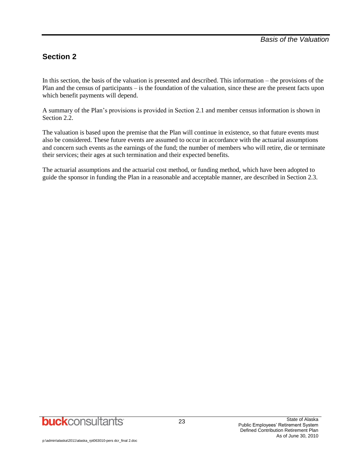### **Section 2**

In this section, the basis of the valuation is presented and described. This information – the provisions of the Plan and the census of participants – is the foundation of the valuation, since these are the present facts upon which benefit payments will depend.

A summary of the Plan's provisions is provided in Section 2.1 and member census information is shown in Section 2.2.

The valuation is based upon the premise that the Plan will continue in existence, so that future events must also be considered. These future events are assumed to occur in accordance with the actuarial assumptions and concern such events as the earnings of the fund; the number of members who will retire, die or terminate their services; their ages at such termination and their expected benefits.

The actuarial assumptions and the actuarial cost method, or funding method, which have been adopted to guide the sponsor in funding the Plan in a reasonable and acceptable manner, are described in Section 2.3.

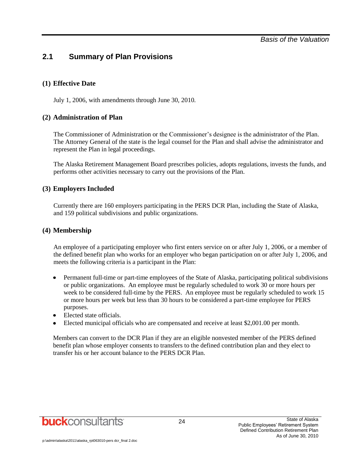### **2.1 Summary of Plan Provisions**

#### **(1) Effective Date**

July 1, 2006, with amendments through June 30, 2010.

#### **(2) Administration of Plan**

The Commissioner of Administration or the Commissioner's designee is the administrator of the Plan. The Attorney General of the state is the legal counsel for the Plan and shall advise the administrator and represent the Plan in legal proceedings.

The Alaska Retirement Management Board prescribes policies, adopts regulations, invests the funds, and performs other activities necessary to carry out the provisions of the Plan.

#### **(3) Employers Included**

Currently there are 160 employers participating in the PERS DCR Plan, including the State of Alaska, and 159 political subdivisions and public organizations.

#### **(4) Membership**

An employee of a participating employer who first enters service on or after July 1, 2006, or a member of the defined benefit plan who works for an employer who began participation on or after July 1, 2006, and meets the following criteria is a participant in the Plan:

- Permanent full-time or part-time employees of the State of Alaska, participating political subdivisions  $\bullet$ or public organizations. An employee must be regularly scheduled to work 30 or more hours per week to be considered full-time by the PERS. An employee must be regularly scheduled to work 15 or more hours per week but less than 30 hours to be considered a part-time employee for PERS purposes.
- Elected state officials.
- Elected municipal officials who are compensated and receive at least \$2,001.00 per month.

Members can convert to the DCR Plan if they are an eligible nonvested member of the PERS defined benefit plan whose employer consents to transfers to the defined contribution plan and they elect to transfer his or her account balance to the PERS DCR Plan.

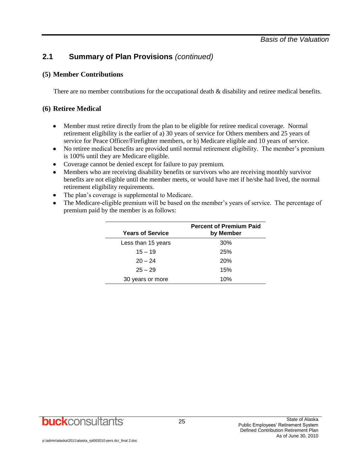### **2.1 Summary of Plan Provisions** *(continued)*

#### **(5) Member Contributions**

There are no member contributions for the occupational death  $\&$  disability and retiree medical benefits.

### **(6) Retiree Medical**

- Member must retire directly from the plan to be eligible for retiree medical coverage. Normal  $\bullet$ retirement eligibility is the earlier of a) 30 years of service for Others members and 25 years of service for Peace Officer/Firefighter members, or b) Medicare eligible and 10 years of service.
- No retiree medical benefits are provided until normal retirement eligibility. The member's premium is 100% until they are Medicare eligible.
- Coverage cannot be denied except for failure to pay premium.
- Members who are receiving disability benefits or survivors who are receiving monthly survivor benefits are not eligible until the member meets, or would have met if he/she had lived, the normal retirement eligibility requirements.
- The plan's coverage is supplemental to Medicare.  $\bullet$
- The Medicare-eligible premium will be based on the member's years of service. The percentage of  $\bullet$ premium paid by the member is as follows:

| <b>Years of Service</b> | <b>Percent of Premium Paid</b><br>by Member |
|-------------------------|---------------------------------------------|
| Less than 15 years      | 30%                                         |
| $15 - 19$               | 25%                                         |
| $20 - 24$               | 20%                                         |
| $25 - 29$               | 15%                                         |
| 30 years or more        | 10%                                         |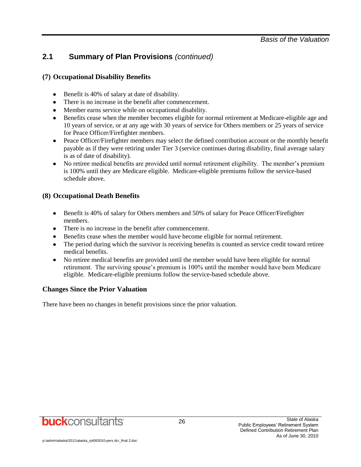### **2.1 Summary of Plan Provisions** *(continued)*

### **(7) Occupational Disability Benefits**

- Benefit is 40% of salary at date of disability.
- There is no increase in the benefit after commencement.
- Member earns service while on occupational disability.
- Benefits cease when the member becomes eligible for normal retirement at Medicare-eligible age and 10 years of service, or at any age with 30 years of service for Others members or 25 years of service for Peace Officer/Firefighter members.
- Peace Officer/Firefighter members may select the defined contribution account or the monthly benefit payable as if they were retiring under Tier 3 (service continues during disability, final average salary is as of date of disability).
- No retiree medical benefits are provided until normal retirement eligibility. The member's premium is 100% until they are Medicare eligible. Medicare-eligible premiums follow the service-based schedule above.

#### **(8) Occupational Death Benefits**

- $\bullet$ Benefit is 40% of salary for Others members and 50% of salary for Peace Officer/Firefighter members.
- There is no increase in the benefit after commencement.
- Benefits cease when the member would have become eligible for normal retirement.
- The period during which the survivor is receiving benefits is counted as service credit toward retiree medical benefits.
- No retiree medical benefits are provided until the member would have been eligible for normal retirement. The surviving spouse's premium is 100% until the member would have been Medicare eligible. Medicare-eligible premiums follow the service-based schedule above.

#### **Changes Since the Prior Valuation**

There have been no changes in benefit provisions since the prior valuation.

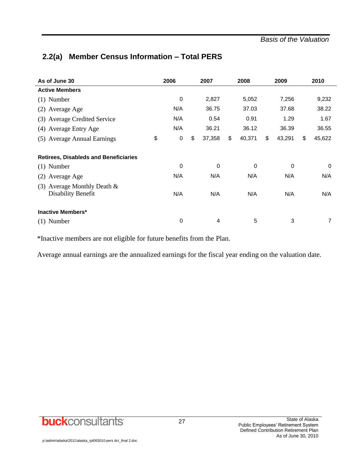### **2.2(a) Member Census Information – Total PERS**

| As of June 30                                              | 2006              | 2007         | 2008<br>2009 |             |    | 2010   |    |             |
|------------------------------------------------------------|-------------------|--------------|--------------|-------------|----|--------|----|-------------|
| <b>Active Members</b>                                      |                   |              |              |             |    |        |    |             |
| $(1)$ Number                                               | 0                 | 2,827        |              | 5,052       |    | 7,256  |    | 9,232       |
| (2) Average Age                                            | N/A               | 36.75        |              | 37.03       |    | 37.68  |    | 38.22       |
| (3) Average Credited Service                               | N/A               | 0.54         |              | 0.91        |    | 1.29   |    | 1.67        |
| (4) Average Entry Age                                      | N/A               | 36.21        |              | 36.12       |    | 36.39  |    | 36.55       |
| (5) Average Annual Earnings                                | \$<br>$\mathbf 0$ | \$<br>37,358 | \$           | 40,371      | \$ | 43,291 | \$ | 45,622      |
| <b>Retirees, Disableds and Beneficiaries</b>               |                   |              |              |             |    |        |    |             |
| $(1)$ Number                                               | 0                 | 0            |              | $\mathbf 0$ |    | 0      |    | $\mathbf 0$ |
| (2) Average Age                                            | N/A               | N/A          |              | N/A         |    | N/A    |    | N/A         |
| (3) Average Monthly Death $&$<br><b>Disability Benefit</b> | N/A               | N/A          |              | N/A         |    | N/A    |    | N/A         |
| <b>Inactive Members*</b>                                   |                   |              |              |             |    |        |    |             |
| $(1)$ Number                                               | 0                 | 4            |              | 5           |    | 3      |    | 7           |

\*Inactive members are not eligible for future benefits from the Plan.

Average annual earnings are the annualized earnings for the fiscal year ending on the valuation date.

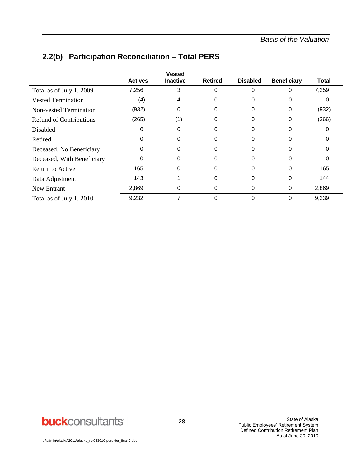|                                |                | <b>Vested</b>   |                |                 |                    |              |
|--------------------------------|----------------|-----------------|----------------|-----------------|--------------------|--------------|
|                                | <b>Actives</b> | <b>Inactive</b> | <b>Retired</b> | <b>Disabled</b> | <b>Beneficiary</b> | <b>Total</b> |
| Total as of July 1, 2009       | 7,256          | 3               | $\Omega$       | 0               | 0                  | 7,259        |
| <b>Vested Termination</b>      | (4)            | 4               | $\Omega$       | 0               | 0                  | 0            |
| <b>Non-vested Termination</b>  | (932)          | 0               | 0              | 0               | 0                  | (932)        |
| <b>Refund of Contributions</b> | (265)          | (1)             | 0              | 0               | 0                  | (266)        |
| Disabled                       | 0              | 0               | 0              | 0               |                    | 0            |
| Retired                        | $\Omega$       | O               | 0              | 0               |                    | ∩            |
| Deceased, No Beneficiary       | 0              | O               | $\Omega$       | 0               | O                  | ∩            |
| Deceased, With Beneficiary     | 0              | 0               | 0              | 0               | 0                  | 0            |
| Return to Active               | 165            | 0               | 0              | 0               | 0                  | 165          |
| Data Adjustment                | 143            |                 | 0              | 0               | 0                  | 144          |
| New Entrant                    | 2,869          | 0               | 0              | 0               | 0                  | 2,869        |
| Total as of July 1, 2010       | 9,232          | 7               | $\mathbf 0$    | 0               | 0                  | 9,239        |

### **2.2(b) Participation Reconciliation – Total PERS**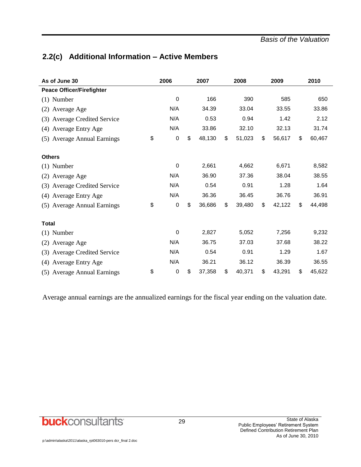### **2.2(c) Additional Information – Active Members**

| As of June 30                    | 2006                   | 2007         | 2008         | 2009         | 2010         |
|----------------------------------|------------------------|--------------|--------------|--------------|--------------|
| <b>Peace Officer/Firefighter</b> |                        |              |              |              |              |
| $(1)$ Number                     | $\mathbf 0$            | 166          | 390          | 585          | 650          |
| Average Age<br>(2)               | N/A                    | 34.39        | 33.04        | 33.55        | 33.86        |
| (3) Average Credited Service     | N/A                    | 0.53         | 0.94         | 1.42         | 2.12         |
| <b>Average Entry Age</b><br>(4)  | N/A                    | 33.86        | 32.10        | 32.13        | 31.74        |
| (5) Average Annual Earnings      | \$<br>$\boldsymbol{0}$ | \$<br>48,130 | \$<br>51,023 | \$<br>56,617 | \$<br>60,467 |
| <b>Others</b>                    |                        |              |              |              |              |
| $(1)$ Number                     | $\boldsymbol{0}$       | 2,661        | 4,662        | 6,671        | 8,582        |
| (2) Average Age                  | N/A                    | 36.90        | 37.36        | 38.04        | 38.55        |
| (3) Average Credited Service     | N/A                    | 0.54         | 0.91         | 1.28         | 1.64         |
| (4) Average Entry Age            | N/A                    | 36.36        | 36.45        | 36.76        | 36.91        |
| (5) Average Annual Earnings      | \$<br>0                | \$<br>36,686 | \$<br>39,480 | \$<br>42,122 | \$<br>44,498 |
| <b>Total</b>                     |                        |              |              |              |              |
| $(1)$ Number                     | $\mathbf 0$            | 2,827        | 5,052        | 7,256        | 9,232        |
| Average Age<br>(2)               | N/A                    | 36.75        | 37.03        | 37.68        | 38.22        |
| (3) Average Credited Service     | N/A                    | 0.54         | 0.91         | 1.29         | 1.67         |
| <b>Average Entry Age</b><br>(4)  | N/A                    | 36.21        | 36.12        | 36.39        | 36.55        |
| (5) Average Annual Earnings      | \$<br>$\boldsymbol{0}$ | \$<br>37,358 | \$<br>40,371 | \$<br>43,291 | \$<br>45,622 |

Average annual earnings are the annualized earnings for the fiscal year ending on the valuation date.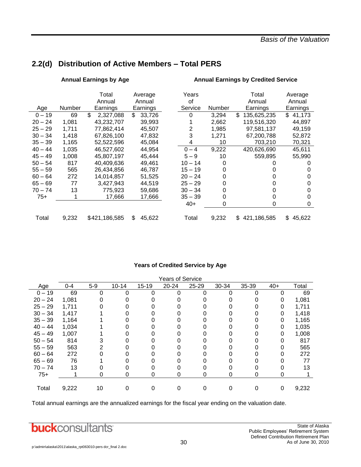### **2.2(d) Distribution of Active Members – Total PERS**

|           |        | <b>Annual Earnings by Age</b> |              | <b>Annual Earnings by Credited Service</b> |        |                   |              |  |
|-----------|--------|-------------------------------|--------------|--------------------------------------------|--------|-------------------|--------------|--|
|           |        | Total                         | Average      | Years                                      |        | Total             | Average      |  |
|           |        | Annual                        | Annual       | οf                                         |        | Annual            | Annual       |  |
| Age       | Number | Earnings                      | Earnings     | Service                                    | Number | Earnings          | Earnings     |  |
| $0 - 19$  | 69     | \$<br>2,327,088               | \$<br>33,726 | 0                                          | 3,294  | \$<br>135,625,235 | \$<br>41,173 |  |
| $20 - 24$ | 1,081  | 43,232,707                    | 39,993       |                                            | 2,662  | 119,516,320       | 44,897       |  |
| $25 - 29$ | 1,711  | 77,862,414                    | 45,507       | 2                                          | 1,985  | 97,581,137        | 49,159       |  |
| $30 - 34$ | 1,418  | 67,826,100                    | 47,832       | 3                                          | 1,271  | 67,200,788        | 52,872       |  |
| $35 - 39$ | 1,165  | 52,522,596                    | 45,084       | 4                                          | 10     | 703,210           | 70,321       |  |
| $40 - 44$ | 1,035  | 46,527,602                    | 44,954       | $0 - 4$                                    | 9,222  | 420,626,690       | 45,611       |  |
| $45 - 49$ | 1,008  | 45,807,197                    | 45,444       | $5 - 9$                                    | 10     | 559,895           | 55,990       |  |
| $50 - 54$ | 817    | 40,409,636                    | 49,461       | $10 - 14$                                  | 0      |                   | Ω            |  |
| $55 - 59$ | 565    | 26.434.856                    | 46,787       | $15 - 19$                                  | 0      | 0                 | O            |  |
| $60 - 64$ | 272    | 14,014,857                    | 51,525       | $20 - 24$                                  | 0      | 0                 | 0            |  |
| $65 - 69$ | 77     | 3,427,943                     | 44,519       | $25 - 29$                                  | 0      | 0                 | 0            |  |
| $70 - 74$ | 13     | 775.923                       | 59,686       | $30 - 34$                                  | 0      | 0                 | 0            |  |
| $75+$     | 1      | 17,666                        | 17,666       | $35 - 39$                                  | 0      | 0                 | 0            |  |
|           |        |                               |              | $40+$                                      | 0      | 0                 | 0            |  |
| Total     | 9,232  | \$421,186,585                 | \$<br>45,622 | Total                                      | 9,232  | 421,186,585<br>\$ | \$<br>45,622 |  |

#### **Years of Credited Service by Age**

|           | <b>Years of Service</b> |       |           |           |       |           |       |       |       |       |
|-----------|-------------------------|-------|-----------|-----------|-------|-----------|-------|-------|-------|-------|
| Age       | $0 - 4$                 | $5-9$ | $10 - 14$ | $15 - 19$ | 20-24 | $25 - 29$ | 30-34 | 35-39 | $40+$ | Total |
| $0 - 19$  | 69                      | 0     |           |           | ი     | ∩         | ი     |       |       | 69    |
| $20 - 24$ | 1,081                   |       |           |           |       |           |       |       |       | 1,081 |
| $25 - 29$ | 1,711                   |       |           |           |       |           |       |       |       | 1,711 |
| $30 - 34$ | 1,417                   |       |           |           |       |           |       |       | 0     | 1,418 |
| $35 - 39$ | 1,164                   |       |           |           |       |           |       |       | 0     | 1,165 |
| $40 - 44$ | 1,034                   |       |           |           |       |           |       |       |       | 1,035 |
| $45 - 49$ | 1,007                   |       |           |           |       |           |       |       | 0     | 1,008 |
| $50 - 54$ | 814                     |       |           |           |       |           |       |       |       | 817   |
| $55 - 59$ | 563                     |       |           |           |       |           |       |       | 0     | 565   |
| $60 - 64$ | 272                     |       |           |           |       |           |       |       |       | 272   |
| $65 - 69$ | 76                      |       |           |           |       |           |       |       |       | 77    |
| $70 - 74$ | 13                      |       |           |           |       |           |       |       |       | 13    |
| $75+$     |                         | 0     | 0         | 0         | O     | 0         | 0     | O     |       |       |
|           |                         |       |           |           |       |           |       |       |       |       |
| Total     | 9,222                   | 10    |           |           |       |           |       |       | 0     | 9,232 |

Total annual earnings are the annualized earnings for the fiscal year ending on the valuation date.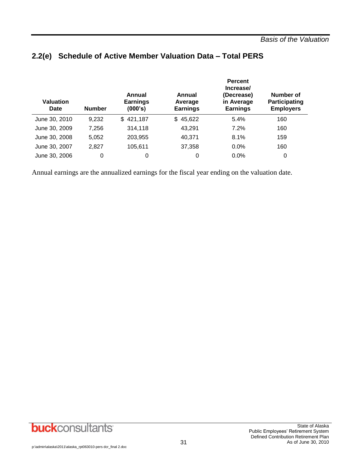| <b>Valuation</b><br>Date | <b>Number</b> | Annual<br><b>Earnings</b><br>(000's) | Annual<br>Average<br><b>Earnings</b> | <b>Percent</b><br>Increase/<br>(Decrease)<br>in Average<br><b>Earnings</b> | Number of<br><b>Participating</b><br><b>Employers</b> |
|--------------------------|---------------|--------------------------------------|--------------------------------------|----------------------------------------------------------------------------|-------------------------------------------------------|
| June 30, 2010            | 9,232         | \$421,187                            | \$45,622                             | 5.4%                                                                       | 160                                                   |
| June 30, 2009            | 7,256         | 314,118                              | 43,291                               | 7.2%                                                                       | 160                                                   |
| June 30, 2008            | 5.052         | 203,955                              | 40,371                               | 8.1%                                                                       | 159                                                   |
| June 30, 2007            | 2,827         | 105,611                              | 37,358                               | $0.0\%$                                                                    | 160                                                   |
| June 30, 2006            | 0             | 0                                    | 0                                    | 0.0%                                                                       | 0                                                     |

### **2.2(e) Schedule of Active Member Valuation Data – Total PERS**

Annual earnings are the annualized earnings for the fiscal year ending on the valuation date.

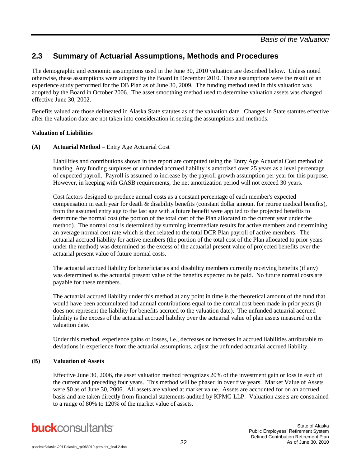### **2.3 Summary of Actuarial Assumptions, Methods and Procedures**

The demographic and economic assumptions used in the June 30, 2010 valuation are described below. Unless noted otherwise, these assumptions were adopted by the Board in December 2010. These assumptions were the result of an experience study performed for the DB Plan as of June 30, 2009. The funding method used in this valuation was adopted by the Board in October 2006. The asset smoothing method used to determine valuation assets was changed effective June 30, 2002.

Benefits valued are those delineated in Alaska State statutes as of the valuation date. Changes in State statutes effective after the valuation date are not taken into consideration in setting the assumptions and methods.

#### **Valuation of Liabilities**

#### **(A) Actuarial Method** – Entry Age Actuarial Cost

Liabilities and contributions shown in the report are computed using the Entry Age Actuarial Cost method of funding. Any funding surpluses or unfunded accrued liability is amortized over 25 years as a level percentage of expected payroll. Payroll is assumed to increase by the payroll growth assumption per year for this purpose. However, in keeping with GASB requirements, the net amortization period will not exceed 30 years.

Cost factors designed to produce annual costs as a constant percentage of each member's expected compensation in each year for death & disability benefits (constant dollar amount for retiree medical benefits), from the assumed entry age to the last age with a future benefit were applied to the projected benefits to determine the normal cost (the portion of the total cost of the Plan allocated to the current year under the method). The normal cost is determined by summing intermediate results for active members and determining an average normal cost rate which is then related to the total DCR Plan payroll of active members. The actuarial accrued liability for active members (the portion of the total cost of the Plan allocated to prior years under the method) was determined as the excess of the actuarial present value of projected benefits over the actuarial present value of future normal costs.

The actuarial accrued liability for beneficiaries and disability members currently receiving benefits (if any) was determined as the actuarial present value of the benefits expected to be paid. No future normal costs are payable for these members.

The actuarial accrued liability under this method at any point in time is the theoretical amount of the fund that would have been accumulated had annual contributions equal to the normal cost been made in prior years (it does not represent the liability for benefits accrued to the valuation date). The unfunded actuarial accrued liability is the excess of the actuarial accrued liability over the actuarial value of plan assets measured on the valuation date.

Under this method, experience gains or losses, i.e., decreases or increases in accrued liabilities attributable to deviations in experience from the actuarial assumptions, adjust the unfunded actuarial accrued liability.

#### **(B) Valuation of Assets**

Effective June 30, 2006, the asset valuation method recognizes 20% of the investment gain or loss in each of the current and preceding four years. This method will be phased in over five years. Market Value of Assets were \$0 as of June 30, 2006. All assets are valued at market value. Assets are accounted for on an accrued basis and are taken directly from financial statements audited by KPMG LLP. Valuation assets are constrained to a range of 80% to 120% of the market value of assets.

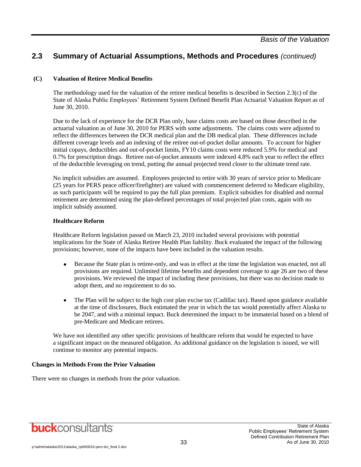### **2.3 Summary of Actuarial Assumptions, Methods and Procedures** *(continued)*

#### **(C) Valuation of Retiree Medical Benefits**

The methodology used for the valuation of the retiree medical benefits is described in Section 2.3(c) of the State of Alaska Public Employees' Retirement System Defined Benefit Plan Actuarial Valuation Report as of June 30, 2010.

Due to the lack of experience for the DCR Plan only, base claims costs are based on those described in the actuarial valuation as of June 30, 2010 for PERS with some adjustments. The claims costs were adjusted to reflect the differences between the DCR medical plan and the DB medical plan. These differences include different coverage levels and an indexing of the retiree out-of-pocket dollar amounts. To account for higher initial copays, deductibles and out-of-pocket limits, FY10 claims costs were reduced 5.9% for medical and 0.7% for prescription drugs. Retiree out-of-pocket amounts were indexed 4.8% each year to reflect the effect of the deductible leveraging on trend, putting the annual projected trend closer to the ultimate trend rate.

No implicit subsidies are assumed. Employees projected to retire with 30 years of service prior to Medicare (25 years for PERS peace officer/firefighter) are valued with commencement deferred to Medicare eligibility, as such participants will be required to pay the full plan premium. Explicit subsidies for disabled and normal retirement are determined using the plan-defined percentages of total projected plan costs, again with no implicit subsidy assumed.

#### **Healthcare Reform**

Healthcare Reform legislation passed on March 23, 2010 included several provisions with potential implications for the State of Alaska Retiree Health Plan liability. Buck evaluated the impact of the following provisions; however, none of the impacts have been included in the valuation results.

- Because the State plan is retiree-only, and was in effect at the time the legislation was enacted, not all  $\bullet$ provisions are required. Unlimited lifetime benefits and dependent coverage to age 26 are two of these provisions. We reviewed the impact of including these provisions, but there was no decision made to adopt them, and no requirement to do so.
- The Plan will be subject to the high cost plan excise tax (Cadillac tax). Based upon guidance available  $\bullet$ at the time of disclosures, Buck estimated the year in which the tax would potentially affect Alaska to be 2047, and with a minimal impact. Buck determined the impact to be immaterial based on a blend of pre-Medicare and Medicare retirees.

We have not identified any other specific provisions of healthcare reform that would be expected to have a significant impact on the measured obligation. As additional guidance on the legislation is issued, we will continue to monitor any potential impacts.

#### **Changes in Methods From the Prior Valuation**

There were no changes in methods from the prior valuation.

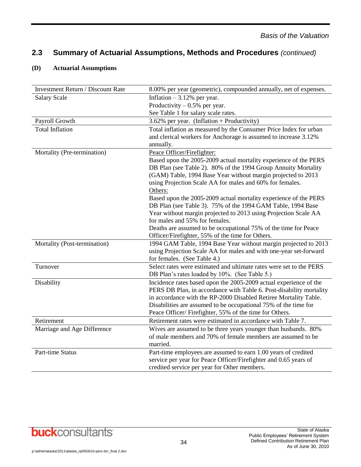### **2.3 Summary of Actuarial Assumptions, Methods and Procedures** *(continued)*

#### **(D) Actuarial Assumptions**

| <b>Investment Return / Discount Rate</b> | 8.00% per year (geometric), compounded annually, net of expenses.                                |
|------------------------------------------|--------------------------------------------------------------------------------------------------|
| <b>Salary Scale</b>                      | Inflation $-3.12%$ per year.                                                                     |
|                                          | Productivity $-0.5%$ per year.                                                                   |
|                                          | See Table 1 for salary scale rates.                                                              |
| Payroll Growth                           | 3.62% per year. (Inflation + Productivity)                                                       |
| <b>Total Inflation</b>                   | Total inflation as measured by the Consumer Price Index for urban                                |
|                                          | and clerical workers for Anchorage is assumed to increase 3.12%                                  |
|                                          | annually.                                                                                        |
| Mortality (Pre-termination)              | Peace Officer/Firefighter:                                                                       |
|                                          | Based upon the 2005-2009 actual mortality experience of the PERS                                 |
|                                          | DB Plan (see Table 2). 80% of the 1994 Group Annuity Mortality                                   |
|                                          | (GAM) Table, 1994 Base Year without margin projected to 2013                                     |
|                                          | using Projection Scale AA for males and 60% for females.                                         |
|                                          | Others:                                                                                          |
|                                          | Based upon the 2005-2009 actual mortality experience of the PERS                                 |
|                                          | DB Plan (see Table 3). 75% of the 1994 GAM Table, 1994 Base                                      |
|                                          | Year without margin projected to 2013 using Projection Scale AA                                  |
|                                          | for males and 55% for females.                                                                   |
|                                          | Deaths are assumed to be occupational 75% of the time for Peace                                  |
|                                          | Officer/Firefighter, 55% of the time for Others.                                                 |
| Mortality (Post-termination)             | 1994 GAM Table, 1994 Base Year without margin projected to 2013                                  |
|                                          | using Projection Scale AA for males and with one-year set-forward<br>for females. (See Table 4.) |
| Turnover                                 | Select rates were estimated and ultimate rates were set to the PERS                              |
|                                          | DB Plan's rates loaded by 10%. (See Table 5.)                                                    |
| Disability                               | Incidence rates based upon the 2005-2009 actual experience of the                                |
|                                          | PERS DB Plan, in accordance with Table 6. Post-disability mortality                              |
|                                          | in accordance with the RP-2000 Disabled Retiree Mortality Table.                                 |
|                                          | Disabilities are assumed to be occupational 75% of the time for                                  |
|                                          | Peace Officer/Firefighter, 55% of the time for Others.                                           |
| Retirement                               | Retirement rates were estimated in accordance with Table 7.                                      |
| Marriage and Age Difference              | Wives are assumed to be three years younger than husbands. 80%                                   |
|                                          | of male members and 70% of female members are assumed to be                                      |
|                                          | married.                                                                                         |
| Part-time Status                         | Part-time employees are assumed to earn 1.00 years of credited                                   |
|                                          | service per year for Peace Officer/Firefighter and 0.65 years of                                 |
|                                          | credited service per year for Other members.                                                     |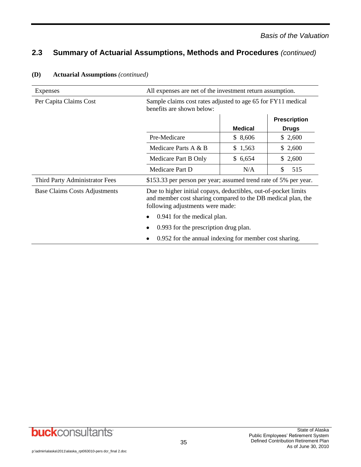### **2.3 Summary of Actuarial Assumptions, Methods and Procedures** *(continued)*

| <b>Expenses</b>                      | All expenses are net of the investment return assumption.                                                                                                           |                |                     |  |  |
|--------------------------------------|---------------------------------------------------------------------------------------------------------------------------------------------------------------------|----------------|---------------------|--|--|
| Per Capita Claims Cost               | Sample claims cost rates adjusted to age 65 for FY11 medical<br>benefits are shown below:                                                                           |                |                     |  |  |
|                                      |                                                                                                                                                                     |                | <b>Prescription</b> |  |  |
|                                      |                                                                                                                                                                     | <b>Medical</b> | <b>Drugs</b>        |  |  |
|                                      | Pre-Medicare                                                                                                                                                        | \$8,606        | \$2,600             |  |  |
|                                      | Medicare Parts A & B                                                                                                                                                | \$1,563        | \$2,600             |  |  |
|                                      | Medicare Part B Only                                                                                                                                                | \$6,654        | \$2,600             |  |  |
|                                      | Medicare Part D                                                                                                                                                     | N/A            | \$<br>515           |  |  |
| Third Party Administrator Fees       | \$153.33 per person per year; assumed trend rate of 5% per year.                                                                                                    |                |                     |  |  |
| <b>Base Claims Costs Adjustments</b> | Due to higher initial copays, deductibles, out-of-pocket limits<br>and member cost sharing compared to the DB medical plan, the<br>following adjustments were made: |                |                     |  |  |
|                                      | 0.941 for the medical plan.                                                                                                                                         |                |                     |  |  |
|                                      | 0.993 for the prescription drug plan.                                                                                                                               |                |                     |  |  |
|                                      | 0.952 for the annual indexing for member cost sharing.                                                                                                              |                |                     |  |  |

#### **(D) Actuarial Assumptions** *(continued)*

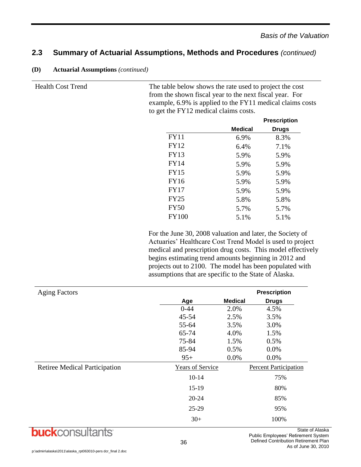### **2.3 Summary of Actuarial Assumptions, Methods and Procedures** *(continued)*

| (D)<br><b>Actuarial Assumptions (continued)</b> |  |
|-------------------------------------------------|--|
|-------------------------------------------------|--|

Health Cost Trend The table below shows the rate used to project the cost from the shown fiscal year to the next fiscal year. For example, 6.9% is applied to the FY11 medical claims costs to get the FY12 medical claims costs.

|              |                | <b>Prescription</b> |
|--------------|----------------|---------------------|
|              | <b>Medical</b> | <b>Drugs</b>        |
| <b>FY11</b>  | 6.9%           | 8.3%                |
| <b>FY12</b>  | 6.4%           | 7.1%                |
| <b>FY13</b>  | 5.9%           | 5.9%                |
| <b>FY14</b>  | 5.9%           | 5.9%                |
| <b>FY15</b>  | 5.9%           | 5.9%                |
| FY16         | 5.9%           | 5.9%                |
| <b>FY17</b>  | 5.9%           | 5.9%                |
| <b>FY25</b>  | 5.8%           | 5.8%                |
| <b>FY50</b>  | 5.7%           | 5.7%                |
| <b>FY100</b> | 5.1%           | 5.1%                |
|              |                |                     |

For the June 30, 2008 valuation and later, the Society of Actuaries' Healthcare Cost Trend Model is used to project medical and prescription drug costs. This model effectively begins estimating trend amounts beginning in 2012 and projects out to 2100. The model has been populated with assumptions that are specific to the State of Alaska.

| <b>Aging Factors</b>                 |                         |                | <b>Prescription</b>                  |
|--------------------------------------|-------------------------|----------------|--------------------------------------|
|                                      | Age                     | <b>Medical</b> | <b>Drugs</b>                         |
|                                      | $0 - 44$                | 2.0%           | 4.5%                                 |
|                                      | $45 - 54$               | 2.5%           | 3.5%                                 |
|                                      | 55-64                   | 3.5%           | 3.0%                                 |
|                                      | 65-74                   | 4.0%           | 1.5%                                 |
|                                      | 75-84                   | 1.5%           | 0.5%                                 |
|                                      | 85-94                   | 0.5%           | 0.0%                                 |
|                                      | $95+$                   | 0.0%           | 0.0%                                 |
| <b>Retiree Medical Participation</b> | <b>Years of Service</b> |                | <b>Percent Participation</b>         |
|                                      | $10 - 14$               |                | 75%                                  |
|                                      | 15-19                   |                | 80%                                  |
|                                      | $20 - 24$               |                | 85%                                  |
|                                      | 25-29                   |                | 95%                                  |
|                                      | $30+$                   |                | 100%                                 |
| <b>KCONSL</b><br>uci                 |                         |                | State<br>Public Employees' Petiremen |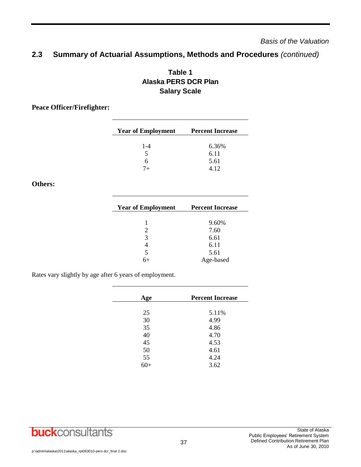### **2.3 Summary of Actuarial Assumptions, Methods and Procedures** *(continued)*

### **Table 1 Alaska PERS DCR Plan Salary Scale**

### **Peace Officer/Firefighter:**

| <b>Year of Employment</b> | <b>Percent Increase</b> |
|---------------------------|-------------------------|
| $1 - 4$                   | 6.36%                   |
| 5                         | 6.11                    |
| 6                         | 5.61                    |
| 7⊥                        | 412                     |

#### **Others:**

| <b>Year of Employment</b> | <b>Percent Increase</b> |
|---------------------------|-------------------------|
| 1                         | 9.60%                   |
| $\mathfrak{D}$            | 7.60                    |
| 3                         | 6.61                    |
|                           | 6.11                    |
| 5                         | 5.61                    |
|                           | Age-based               |

Rates vary slightly by age after 6 years of employment.

| <b>Percent Increase</b> |
|-------------------------|
|                         |
| 5.11%                   |
| 4.99                    |
| 4.86                    |
| 4.70                    |
| 4.53                    |
| 4.61                    |
| 4.24                    |
| 3.62                    |
|                         |

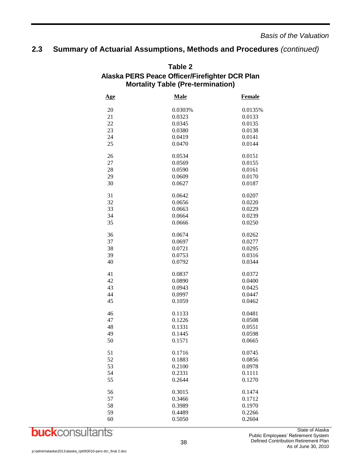### **2.3 Summary of Actuarial Assumptions, Methods and Procedures** *(continued)*

| <b>Mortality Table (Pre-termination)</b> |             |               |  |
|------------------------------------------|-------------|---------------|--|
| <u>Age</u>                               | <b>Male</b> | <b>Female</b> |  |
| 20                                       | 0.0303%     | 0.0135%       |  |
| 21                                       | 0.0323      | 0.0133        |  |
| 22                                       | 0.0345      | 0.0135        |  |
| 23                                       | 0.0380      | 0.0138        |  |
| 24                                       | 0.0419      | 0.0141        |  |
| 25                                       | 0.0470      | 0.0144        |  |
| 26                                       | 0.0534      | 0.0151        |  |
| 27                                       | 0.0569      | 0.0155        |  |
| 28                                       | 0.0590      | 0.0161        |  |
| 29                                       | 0.0609      | 0.0170        |  |
| 30                                       | 0.0627      | 0.0187        |  |
| 31                                       | 0.0642      | 0.0207        |  |
| 32                                       | 0.0656      | 0.0220        |  |
| 33                                       | 0.0663      | 0.0229        |  |
| 34                                       | 0.0664      | 0.0239        |  |
| 35                                       | 0.0666      | 0.0250        |  |
| 36                                       | 0.0674      | 0.0262        |  |
| 37                                       | 0.0697      | 0.0277        |  |
| 38                                       | 0.0721      | 0.0295        |  |
| 39                                       | 0.0753      | 0.0316        |  |
| 40                                       | 0.0792      | 0.0344        |  |
| 41                                       | 0.0837      | 0.0372        |  |
| 42                                       | 0.0890      | 0.0400        |  |
| 43                                       | 0.0943      | 0.0425        |  |
| 44                                       | 0.0997      | 0.0447        |  |
| 45                                       | 0.1059      | 0.0462        |  |
| 46                                       | 0.1133      | 0.0481        |  |
| 47                                       | 0.1226      | 0.0508        |  |
| 48                                       | 0.1331      | 0.0551        |  |
| 49                                       | 0.1445      | 0.0598        |  |
| 50                                       | 0.1571      | 0.0665        |  |
| 51                                       | 0.1716      | 0.0745        |  |
| 52                                       | 0.1883      | 0.0856        |  |
| 53                                       | 0.2100      | 0.0978        |  |
| 54                                       | 0.2331      | 0.1111        |  |
| 55                                       | 0.2644      | 0.1270        |  |
| 56                                       | 0.3015      | 0.1474        |  |
| 57                                       | 0.3466      | 0.1712        |  |
| 58                                       | 0.3989      | 0.1970        |  |
| 59                                       | 0.4489      | 0.2266        |  |
| 60                                       | 0.5050      | 0.2604        |  |

# **Table 2 Alaska PERS Peace Officer/Firefighter DCR Plan**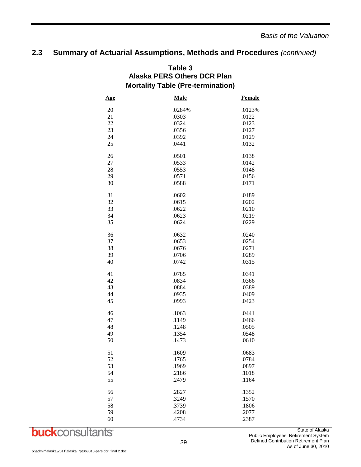### **2.3 Summary of Actuarial Assumptions, Methods and Procedures** *(continued)*

| <b>Mortality Table (Pre-termination)</b> |             |               |  |
|------------------------------------------|-------------|---------------|--|
| <u>Age</u>                               | <b>Male</b> | <b>Female</b> |  |
| 20                                       | .0284%      | .0123%        |  |
| 21                                       | .0303       | .0122         |  |
| 22                                       | .0324       | .0123         |  |
| 23                                       | .0356       | .0127         |  |
| 24                                       | .0392       | .0129         |  |
| 25                                       | .0441       | .0132         |  |
| 26                                       | .0501       | .0138         |  |
| 27                                       | .0533       | .0142         |  |
| 28                                       | .0553       | .0148         |  |
| 29                                       | .0571       | .0156         |  |
| 30                                       | .0588       | .0171         |  |
| 31                                       | .0602       | .0189         |  |
| 32                                       | .0615       | .0202         |  |
| 33                                       | .0622       | .0210         |  |
| 34                                       | .0623       | .0219         |  |
| 35                                       | .0624       | .0229         |  |
| 36                                       | .0632       | .0240         |  |
| 37                                       | .0653       | .0254         |  |
| 38                                       | .0676       | .0271         |  |
| 39                                       | .0706       | .0289         |  |
| 40                                       | .0742       | .0315         |  |
| 41                                       | .0785       | .0341         |  |
| 42                                       | .0834       | .0366         |  |
| 43                                       | .0884       | .0389         |  |
| 44                                       | .0935       | .0409         |  |
| 45                                       | .0993       | .0423         |  |
| 46                                       | .1063       | .0441         |  |
| 47                                       | .1149       | .0466         |  |
| 48                                       | .1248       | .0505         |  |
| 49                                       | .1354       | .0548         |  |
| 50                                       | .1473       | .0610         |  |
| 51                                       | .1609       | .0683         |  |
| 52                                       | .1765       | .0784         |  |
| 53                                       | .1969       | .0897         |  |
| 54                                       | .2186       | .1018         |  |
| 55                                       | .2479       | .1164         |  |
| 56                                       | .2827       | .1352         |  |
| 57                                       | .3249       | .1570         |  |
| 58                                       | .3739       | .1806         |  |
| 59                                       | .4208       | .2077         |  |
| 60                                       | .4734       | .2387         |  |

# **Table 3 Alaska PERS Others DCR Plan**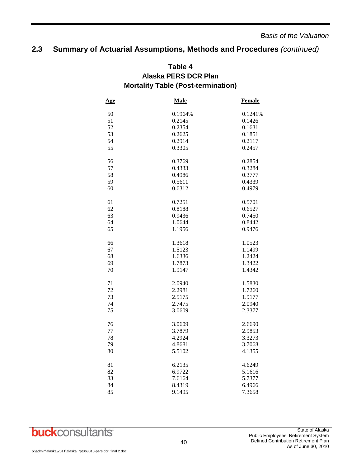### **2.3 Summary of Actuarial Assumptions, Methods and Procedures** *(continued)*

### **Table 4 Alaska PERS DCR Plan Mortality Table (Post-termination)**

| Age | <b>Male</b> | <b>Female</b> |
|-----|-------------|---------------|
| 50  | 0.1964%     | 0.1241%       |
| 51  | 0.2145      | 0.1426        |
| 52  | 0.2354      | 0.1631        |
| 53  | 0.2625      | 0.1851        |
| 54  | 0.2914      | 0.2117        |
| 55  | 0.3305      | 0.2457        |
|     |             |               |
| 56  | 0.3769      | 0.2854        |
| 57  | 0.4333      | 0.3284        |
| 58  | 0.4986      | 0.3777        |
| 59  | 0.5611      | 0.4339        |
| 60  | 0.6312      | 0.4979        |
|     |             |               |
| 61  | 0.7251      | 0.5701        |
| 62  | 0.8188      | 0.6527        |
| 63  | 0.9436      | 0.7450        |
| 64  | 1.0644      | 0.8442        |
| 65  | 1.1956      | 0.9476        |
|     |             |               |
| 66  | 1.3618      | 1.0523        |
| 67  | 1.5123      | 1.1499        |
| 68  | 1.6336      | 1.2424        |
| 69  | 1.7873      | 1.3422        |
| 70  | 1.9147      | 1.4342        |
|     |             |               |
| 71  | 2.0940      | 1.5830        |
| 72  | 2.2981      | 1.7260        |
| 73  | 2.5175      | 1.9177        |
| 74  | 2.7475      | 2.0940        |
| 75  | 3.0609      | 2.3377        |
|     |             |               |
| 76  | 3.0609      | 2.6690        |
| 77  | 3.7879      | 2.9853        |
| 78  | 4.2924      | 3.3273        |
| 79  | 4.8681      | 3.7068        |
| 80  | 5.5102      | 4.1355        |
| 81  | 6.2135      | 4.6249        |
| 82  | 6.9722      | 5.1616        |
| 83  | 7.6164      | 5.7377        |
| 84  | 8.4319      | 6.4966        |
| 85  | 9.1495      | 7.3658        |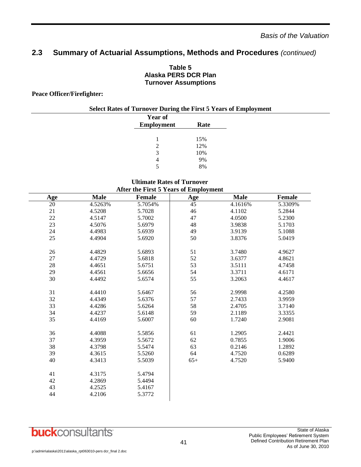### **2.3 Summary of Actuarial Assumptions, Methods and Procedures** *(continued)*

#### **Table 5 Alaska PERS DCR Plan Turnover Assumptions**

#### **Peace Officer/Firefighter:**

| <b>Select Rates of Turnover During the First 5 Years of Employment</b> |                   |      |  |
|------------------------------------------------------------------------|-------------------|------|--|
|                                                                        | <b>Year of</b>    |      |  |
|                                                                        | <b>Employment</b> | Rate |  |
|                                                                        |                   |      |  |
|                                                                        |                   | 15%  |  |
|                                                                        |                   | 12%  |  |
|                                                                        |                   | 10%  |  |
|                                                                        | 4                 | 9%   |  |
|                                                                        |                   | 8%   |  |

#### **Ultimate Rates of Turnover After the First 5 Years of Employment**

|        |             | $\overline{\mathbf{r}}$ and $\overline{\mathbf{r}}$ and $\overline{\mathbf{r}}$ and $\overline{\mathbf{r}}$ and $\overline{\mathbf{r}}$ and $\overline{\mathbf{r}}$ |       |             |               |
|--------|-------------|---------------------------------------------------------------------------------------------------------------------------------------------------------------------|-------|-------------|---------------|
| Age    | <b>Male</b> | Female                                                                                                                                                              | Age   | <b>Male</b> | <b>Female</b> |
| 20     | 4.5263%     | 5.7054%                                                                                                                                                             | 45    | 4.1616%     | 5.3309%       |
| 21     | 4.5208      | 5.7028                                                                                                                                                              | 46    | 4.1102      | 5.2844        |
| $22\,$ | 4.5147      | 5.7002                                                                                                                                                              | 47    | 4.0500      | 5.2300        |
| 23     | 4.5076      | 5.6979                                                                                                                                                              | 48    | 3.9838      | 5.1703        |
| 24     | 4.4983      | 5.6939                                                                                                                                                              | 49    | 3.9139      | 5.1088        |
| 25     | 4.4904      | 5.6920                                                                                                                                                              | 50    | 3.8376      | 5.0419        |
| 26     | 4.4829      | 5.6893                                                                                                                                                              | 51    |             | 4.9627        |
| 27     |             |                                                                                                                                                                     | 52    | 3.7480      |               |
|        | 4.4729      | 5.6818                                                                                                                                                              |       | 3.6377      | 4.8621        |
| 28     | 4.4651      | 5.6751                                                                                                                                                              | 53    | 3.5111      | 4.7458        |
| 29     | 4.4561      | 5.6656                                                                                                                                                              | 54    | 3.3711      | 4.6171        |
| 30     | 4.4492      | 5.6574                                                                                                                                                              | 55    | 3.2063      | 4.4617        |
| 31     | 4.4410      | 5.6467                                                                                                                                                              | 56    | 2.9998      | 4.2580        |
| 32     | 4.4349      | 5.6376                                                                                                                                                              | 57    | 2.7433      | 3.9959        |
| 33     | 4.4286      | 5.6264                                                                                                                                                              | 58    | 2.4705      | 3.7140        |
| 34     | 4.4237      | 5.6148                                                                                                                                                              | 59    | 2.1189      | 3.3355        |
| 35     | 4.4169      | 5.6007                                                                                                                                                              | 60    | 1.7240      | 2.9081        |
|        |             |                                                                                                                                                                     |       |             |               |
| 36     | 4.4088      | 5.5856                                                                                                                                                              | 61    | 1.2905      | 2.4421        |
| 37     | 4.3959      | 5.5672                                                                                                                                                              | 62    | 0.7855      | 1.9006        |
| 38     | 4.3798      | 5.5474                                                                                                                                                              | 63    | 0.2146      | 1.2892        |
| 39     | 4.3615      | 5.5260                                                                                                                                                              | 64    | 4.7520      | 0.6289        |
| 40     | 4.3413      | 5.5039                                                                                                                                                              | $65+$ | 4.7520      | 5.9400        |
|        |             |                                                                                                                                                                     |       |             |               |
| 41     | 4.3175      | 5.4794                                                                                                                                                              |       |             |               |
| 42     | 4.2869      | 5.4494                                                                                                                                                              |       |             |               |
| 43     | 4.2525      | 5.4167                                                                                                                                                              |       |             |               |
| 44     | 4.2106      | 5.3772                                                                                                                                                              |       |             |               |
|        |             |                                                                                                                                                                     |       |             |               |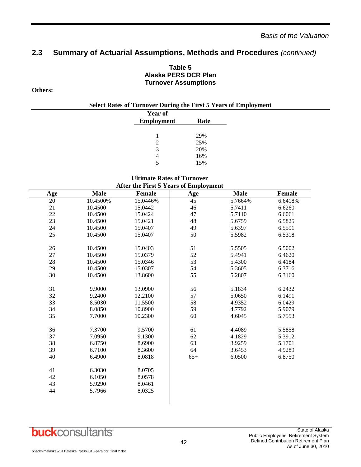### **2.3 Summary of Actuarial Assumptions, Methods and Procedures** *(continued)*

#### **Table 5 Alaska PERS DCR Plan Turnover Assumptions**

#### **Others:**

| <b>Year of</b>    |      |
|-------------------|------|
| <b>Employment</b> | Rate |
|                   |      |
| 1                 | 29%  |
| $\mathcal{L}$     | 25%  |
| 3                 | 20%  |
|                   | 16%  |
| 5                 | 15%  |

#### **Ultimate Rates of Turnover After the First 5 Years of Employment**

| Age    | <b>Male</b> | <b>Female</b> | <b>Age</b>      | <b>Male</b> | Female  |
|--------|-------------|---------------|-----------------|-------------|---------|
| 20     | 10.4500%    | 15.0446%      | $\overline{45}$ | 5.7664%     | 6.6418% |
| 21     | 10.4500     | 15.0442       | $46\,$          | 5.7411      | 6.6260  |
| 22     | 10.4500     | 15.0424       | 47              | 5.7110      | 6.6061  |
| $23\,$ | 10.4500     | 15.0421       | 48              | 5.6759      | 6.5825  |
| 24     | 10.4500     | 15.0407       | 49              | 5.6397      | 6.5591  |
| $25\,$ | 10.4500     | 15.0407       | 50              | 5.5982      | 6.5318  |
| 26     | 10.4500     | 15.0403       | 51              | 5.5505      | 6.5002  |
| 27     | 10.4500     | 15.0379       | 52              | 5.4941      | 6.4620  |
| 28     | 10.4500     | 15.0346       | 53              | 5.4300      | 6.4184  |
| 29     | 10.4500     | 15.0307       | 54              | 5.3605      | 6.3716  |
| 30     | 10.4500     | 13.8600       | 55              | 5.2807      | 6.3160  |
| 31     | 9.9000      | 13.0900       | 56              | 5.1834      | 6.2432  |
| 32     | 9.2400      | 12.2100       | 57              | 5.0650      | 6.1491  |
| 33     | 8.5030      | 11.5500       | 58              | 4.9352      | 6.0429  |
| 34     | 8.0850      | 10.8900       | 59              | 4.7792      | 5.9079  |
| 35     | 7.7000      | 10.2300       | 60              | 4.6045      | 5.7553  |
| 36     | 7.3700      | 9.5700        | 61              | 4.4089      | 5.5858  |
| 37     | 7.0950      | 9.1300        | 62              | 4.1829      | 5.3912  |
| 38     | 6.8750      | 8.6900        | 63              | 3.9259      | 5.1701  |
| 39     | 6.7100      | 8.3600        | 64              | 3.6453      | 4.9289  |
| 40     | 6.4900      | 8.0818        | $65+$           | 6.0500      | 6.8750  |
| 41     | 6.3030      | 8.0705        |                 |             |         |
| 42     | 6.1050      | 8.0578        |                 |             |         |
| 43     | 5.9290      | 8.0461        |                 |             |         |
| 44     | 5.7966      | 8.0325        |                 |             |         |
|        |             |               |                 |             |         |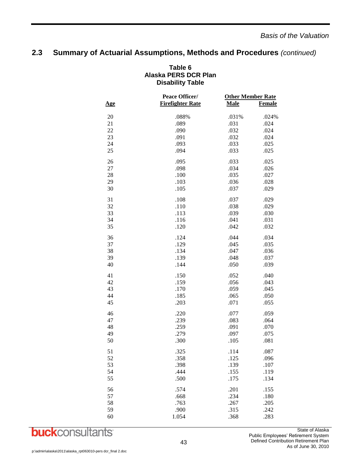### **2.3 Summary of Actuarial Assumptions, Methods and Procedures** *(continued)*

|            | Peace Officer/          |             | <b>Other Member Rate</b> |
|------------|-------------------------|-------------|--------------------------|
| <u>Age</u> | <b>Firefighter Rate</b> | <b>Male</b> | <b>Female</b>            |
|            |                         |             |                          |
| 20         | .088%                   | .031%       | .024%                    |
| 21         | .089                    | .031        | .024                     |
| 22         | .090                    | .032        | .024                     |
| 23         | .091                    | .032        | .024                     |
| 24         | .093                    | .033        | .025                     |
| 25         | .094                    | .033        | .025                     |
| 26         | .095                    | .033        | .025                     |
| 27         | .098                    | .034        | .026                     |
| 28         | .100                    | .035        | .027                     |
| 29         | .103                    | .036        | .028                     |
| 30         | .105                    | .037        | .029                     |
| 31         | .108                    | .037        | .029                     |
| 32         | .110                    | .038        | .029                     |
| 33         | .113                    | .039        | .030                     |
| 34         | .116                    | .041        | .031                     |
| 35         | .120                    | .042        | .032                     |
| 36         | .124                    | .044        | .034                     |
| 37         | .129                    | .045        | .035                     |
| 38         | .134                    | .047        | .036                     |
| 39         | .139                    | .048        | .037                     |
| 40         | .144                    | .050        | .039                     |
| 41         | .150                    | .052        | .040                     |
| 42         | .159                    | .056        | .043                     |
| 43         | .170                    | .059        | .045                     |
| 44         | .185                    | .065        | .050                     |
| 45         | .203                    | .071        | .055                     |
| 46         | .220                    | .077        | .059                     |
| 47         | .239                    | .083        | .064                     |
| 48         | .259                    | .091        | .070                     |
| 49         | .279                    | .097        | .075                     |
| 50         | .300                    | .105        | .081                     |
| 51         | .325                    | .114        | .087                     |
| 52         | .358                    | .125        | .096                     |
| 53         | .398                    | .139        | .107                     |
| 54         | .444                    | .155        | .119                     |
| 55         | .500                    | .175        | .134                     |
| 56         | .574                    | .201        | .155                     |
| 57         | .668                    | .234        | .180                     |
| 58         | .763                    | .267        | .205                     |
| 59         | .900                    | .315        | .242                     |
| 60         | 1.054                   | .368        | .283                     |
|            |                         |             |                          |

#### **Table 6 Alaska PERS DCR Plan Disability Table**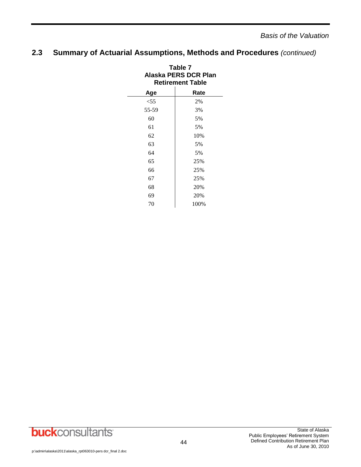### **2.3 Summary of Actuarial Assumptions, Methods and Procedures** *(continued)*

| Table 7<br>Alaska PERS DCR Plan<br><b>Retirement Table</b> |      |  |  |
|------------------------------------------------------------|------|--|--|
| Age                                                        | Rate |  |  |
| $<$ 55                                                     | 2%   |  |  |
| 55-59                                                      | 3%   |  |  |
| 60                                                         | 5%   |  |  |
| 61                                                         | 5%   |  |  |
| 62                                                         | 10%  |  |  |
| 63                                                         | 5%   |  |  |
| 64                                                         | 5%   |  |  |
| 65                                                         | 25%  |  |  |
| 66                                                         | 25%  |  |  |
| 67                                                         | 25%  |  |  |
| 68                                                         | 20%  |  |  |
| 69                                                         | 20%  |  |  |
| 70                                                         | 100% |  |  |

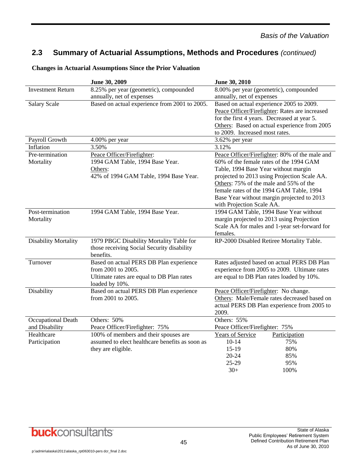### **2.3 Summary of Actuarial Assumptions, Methods and Procedures** *(continued)*

|                             | June 30, 2009                                   | June 30, 2010                                  |
|-----------------------------|-------------------------------------------------|------------------------------------------------|
| <b>Investment Return</b>    | 8.25% per year (geometric), compounded          | 8.00% per year (geometric), compounded         |
|                             | annually, net of expenses                       | annually, net of expenses                      |
| <b>Salary Scale</b>         | Based on actual experience from 2001 to 2005.   | Based on actual experience 2005 to 2009.       |
|                             |                                                 | Peace Officer/Firefighter: Rates are increased |
|                             |                                                 | for the first 4 years. Decreased at year 5.    |
|                             |                                                 | Others: Based on actual experience from 2005   |
|                             |                                                 | to 2009. Increased most rates.                 |
| Payroll Growth              | 4.00% per year                                  | 3.62% per year                                 |
| Inflation                   | 3.50%                                           | 3.12%                                          |
| Pre-termination             | Peace Officer/Firefighter:                      | Peace Officer/Firefighter: 80% of the male and |
| Mortality                   | 1994 GAM Table, 1994 Base Year.                 | 60% of the female rates of the 1994 GAM        |
|                             | Others:                                         | Table, 1994 Base Year without margin           |
|                             | 42% of 1994 GAM Table, 1994 Base Year.          | projected to 2013 using Projection Scale AA.   |
|                             |                                                 | Others: 75% of the male and 55% of the         |
|                             |                                                 | female rates of the 1994 GAM Table, 1994       |
|                             |                                                 | Base Year without margin projected to 2013     |
|                             |                                                 | with Projection Scale AA.                      |
| Post-termination            | 1994 GAM Table, 1994 Base Year.                 | 1994 GAM Table, 1994 Base Year without         |
| Mortality                   |                                                 | margin projected to 2013 using Projection      |
|                             |                                                 | Scale AA for males and 1-year set-forward for  |
|                             |                                                 | females.                                       |
| <b>Disability Mortality</b> | 1979 PBGC Disability Mortality Table for        | RP-2000 Disabled Retiree Mortality Table.      |
|                             | those receiving Social Security disability      |                                                |
|                             | benefits.                                       |                                                |
| Turnover                    | Based on actual PERS DB Plan experience         | Rates adjusted based on actual PERS DB Plan    |
|                             | from 2001 to 2005.                              | experience from 2005 to 2009. Ultimate rates   |
|                             | Ultimate rates are equal to DB Plan rates       | are equal to DB Plan rates loaded by 10%.      |
|                             | loaded by 10%.                                  |                                                |
| Disability                  | Based on actual PERS DB Plan experience         | Peace Officer/Firefighter: No change.          |
|                             | from 2001 to 2005.                              | Others: Male/Female rates decreased based on   |
|                             |                                                 | actual PERS DB Plan experience from 2005 to    |
|                             |                                                 | 2009.                                          |
| Occupational Death          | Others: 50%                                     | Others: 55%                                    |
| and Disability              | Peace Officer/Firefighter: 75%                  | Peace Officer/Firefighter: 75%                 |
| Healthcare                  | 100% of members and their spouses are           | Years of Service<br>Participation              |
| Participation               | assumed to elect healthcare benefits as soon as | $10 - 14$<br>75%                               |
|                             | they are eligible.                              | $15-19$<br>80%                                 |
|                             |                                                 | $20 - 24$<br>85%                               |
|                             |                                                 | 25-29<br>95%                                   |
|                             |                                                 | $30+$<br>100%                                  |

#### **Changes in Actuarial Assumptions Since the Prior Valuation**

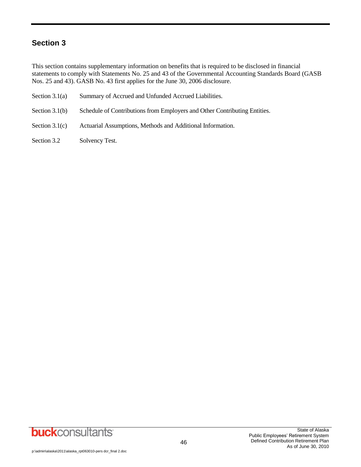### **Section 3**

This section contains supplementary information on benefits that is required to be disclosed in financial statements to comply with Statements No. 25 and 43 of the Governmental Accounting Standards Board (GASB Nos. 25 and 43). GASB No. 43 first applies for the June 30, 2006 disclosure.

- Section 3.1(a) Summary of Accrued and Unfunded Accrued Liabilities.
- Section 3.1(b) Schedule of Contributions from Employers and Other Contributing Entities.
- Section 3.1(c) Actuarial Assumptions, Methods and Additional Information.
- Section 3.2 Solvency Test.

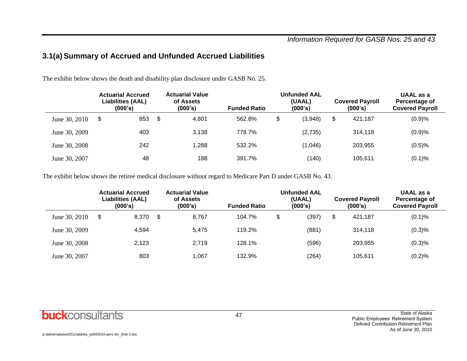### **3.1(a) Summary of Accrued and Unfunded Accrued Liabilities**

The exhibit below shows the death and disability plan disclosure under GASB No. 25.

|               | <b>Actuarial Accrued</b><br><b>Liabilities (AAL)</b><br>(000's) |     | <b>Actuarial Value</b><br>of Assets<br>(000's) | <b>Funded Ratio</b> | <b>Unfunded AAL</b><br>(UAAL)<br>(000's) | <b>Covered Payroll</b><br>(000's) | UAAL as a<br>Percentage of<br><b>Covered Payroll</b> |  |
|---------------|-----------------------------------------------------------------|-----|------------------------------------------------|---------------------|------------------------------------------|-----------------------------------|------------------------------------------------------|--|
| June 30, 2010 | \$                                                              | 853 | \$<br>4.801                                    | 562.8%              | \$<br>(3,948)                            | \$<br>421.187                     | (0.9)%                                               |  |
| June 30, 2009 |                                                                 | 403 | 3,138                                          | 778.7%              | (2,735)                                  | 314.118                           | (0.9)%                                               |  |
| June 30, 2008 |                                                                 | 242 | 1,288                                          | 532.2%              | (1,046)                                  | 203.955                           | (0.5)%                                               |  |
| June 30, 2007 |                                                                 | 48  | 188                                            | 391.7%              | (140)                                    | 105,611                           | (0.1)%                                               |  |

The exhibit below shows the retiree medical disclosure without regard to Medicare Part D under GASB No. 43.

|               | <b>Actuarial Accrued</b><br><b>Liabilities (AAL)</b><br>(000's) |       | <b>Actuarial Value</b><br>of Assets<br>(000's) | <b>Unfunded AAL</b><br>(UAAL)<br>(000's)<br><b>Funded Ratio</b> |    |       |    | <b>Covered Payroll</b><br>(000's) | UAAL as a<br>Percentage of<br><b>Covered Payroll</b> |  |
|---------------|-----------------------------------------------------------------|-------|------------------------------------------------|-----------------------------------------------------------------|----|-------|----|-----------------------------------|------------------------------------------------------|--|
| June 30, 2010 | \$                                                              | 8,370 | \$<br>8.767                                    | 104.7%                                                          | \$ | (397) | \$ | 421.187                           | (0.1)%                                               |  |
| June 30, 2009 |                                                                 | 4.594 | 5.475                                          | 119.2%                                                          |    | (881) |    | 314.118                           | (0.3)%                                               |  |
| June 30, 2008 |                                                                 | 2,123 | 2.719                                          | 128.1%                                                          |    | (596) |    | 203.955                           | (0.3)%                                               |  |
| June 30, 2007 |                                                                 | 803   | l.067                                          | 132.9%                                                          |    | (264) |    | 105.611                           | (0.2)%                                               |  |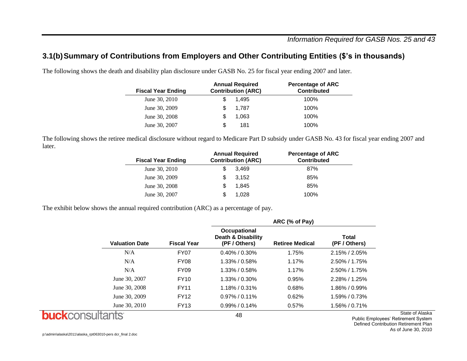### **3.1(b)Summary of Contributions from Employers and Other Contributing Entities (\$'s in thousands)**

The following shows the death and disability plan disclosure under GASB No. 25 for fiscal year ending 2007 and later.

| <b>Fiscal Year Ending</b> | <b>Annual Required</b><br><b>Contribution (ARC)</b> | <b>Percentage of ARC</b><br><b>Contributed</b> |
|---------------------------|-----------------------------------------------------|------------------------------------------------|
| June 30, 2010             | 1.495                                               | 100%                                           |
| June 30, 2009             | 1.787                                               | 100%                                           |
| June 30, 2008             | 1.063                                               | 100%                                           |
| June 30, 2007             | 181<br>S                                            | 100%                                           |

The following shows the retiree medical disclosure without regard to Medicare Part D subsidy under GASB No. 43 for fiscal year ending 2007 and later.

| <b>Annual Required</b><br><b>Contribution (ARC)</b> | <b>Percentage of ARC</b><br><b>Contributed</b> |
|-----------------------------------------------------|------------------------------------------------|
| 3.469                                               | 87%                                            |
| 3.152                                               | 85%                                            |
| 1.845<br>S                                          | 85%                                            |
| 1.028                                               | 100%                                           |
|                                                     |                                                |

The exhibit below shows the annual required contribution (ARC) as a percentage of pay.

|                       |                    | ARC (% of Pay)                                                 |                        |                               |  |  |  |  |  |
|-----------------------|--------------------|----------------------------------------------------------------|------------------------|-------------------------------|--|--|--|--|--|
| <b>Valuation Date</b> | <b>Fiscal Year</b> | Occupational<br><b>Death &amp; Disability</b><br>(PF / Others) | <b>Retiree Medical</b> | <b>Total</b><br>(PF / Others) |  |  |  |  |  |
| N/A                   | <b>FY07</b>        | $0.40\%$ / 0.30%                                               | 1.75%                  | $2.15\%$ / $2.05\%$           |  |  |  |  |  |
| N/A                   | <b>FY08</b>        | $1.33\%$ / 0.58%                                               | 1.17%                  | $2.50\%$ / 1.75%              |  |  |  |  |  |
| N/A                   | <b>FY09</b>        | $1.33\%$ / 0.58%                                               | 1.17%                  | $2.50\%$ / 1.75%              |  |  |  |  |  |
| June 30, 2007         | <b>FY10</b>        | $1.33\% / 0.30\%$                                              | 0.95%                  | $2.28\%$ / 1.25%              |  |  |  |  |  |
| June 30, 2008         | <b>FY11</b>        | $1.18\% / 0.31\%$                                              | 0.68%                  | 1.86% / 0.99%                 |  |  |  |  |  |
| June 30, 2009         | <b>FY12</b>        | $0.97\%$ / 0.11%                                               | 0.62%                  | 1.59% / 0.73%                 |  |  |  |  |  |
| June 30, 2010         | <b>FY13</b>        | $0.99\%$ / 0.14%                                               | 0.57%                  | 1.56% / 0.71%                 |  |  |  |  |  |
|                       |                    | 48                                                             |                        |                               |  |  |  |  |  |

**buck**consultants

State of Alaska

Public Employees' Retirement System Defined Contribution Retirement Plan As of June 30, 2010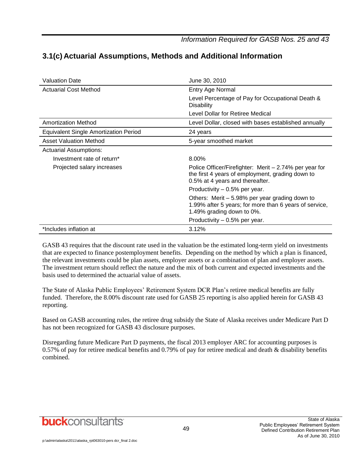*Information Required for GASB Nos. 25 and 43*

| <b>Valuation Date</b>                        | June 30, 2010                                                                                                                                 |
|----------------------------------------------|-----------------------------------------------------------------------------------------------------------------------------------------------|
| <b>Actuarial Cost Method</b>                 | Entry Age Normal                                                                                                                              |
|                                              | Level Percentage of Pay for Occupational Death &<br>Disability                                                                                |
|                                              | Level Dollar for Retiree Medical                                                                                                              |
| <b>Amortization Method</b>                   | Level Dollar, closed with bases established annually                                                                                          |
| <b>Equivalent Single Amortization Period</b> | 24 years                                                                                                                                      |
| <b>Asset Valuation Method</b>                | 5-year smoothed market                                                                                                                        |
| <b>Actuarial Assumptions:</b>                |                                                                                                                                               |
| Investment rate of return*                   | 8.00%                                                                                                                                         |
| Projected salary increases                   | Police Officer/Firefighter: Merit – 2.74% per year for<br>the first 4 years of employment, grading down to<br>0.5% at 4 years and thereafter. |
|                                              | Productivity – 0.5% per year.                                                                                                                 |
|                                              | Others: Merit $-5.98%$ per year grading down to<br>1.99% after 5 years; for more than 6 years of service,<br>1.49% grading down to 0%.        |
|                                              | Productivity $-0.5%$ per year.                                                                                                                |
| *Includes inflation at                       | 3.12%                                                                                                                                         |

### **3.1(c) Actuarial Assumptions, Methods and Additional Information**

GASB 43 requires that the discount rate used in the valuation be the estimated long-term yield on investments that are expected to finance postemployment benefits. Depending on the method by which a plan is financed, the relevant investments could be plan assets, employer assets or a combination of plan and employer assets. The investment return should reflect the nature and the mix of both current and expected investments and the basis used to determined the actuarial value of assets.

The State of Alaska Public Employees' Retirement System DCR Plan's retiree medical benefits are fully funded. Therefore, the 8.00% discount rate used for GASB 25 reporting is also applied herein for GASB 43 reporting.

Based on GASB accounting rules, the retiree drug subsidy the State of Alaska receives under Medicare Part D has not been recognized for GASB 43 disclosure purposes.

Disregarding future Medicare Part D payments, the fiscal 2013 employer ARC for accounting purposes is 0.57% of pay for retiree medical benefits and 0.79% of pay for retiree medical and death & disability benefits combined.